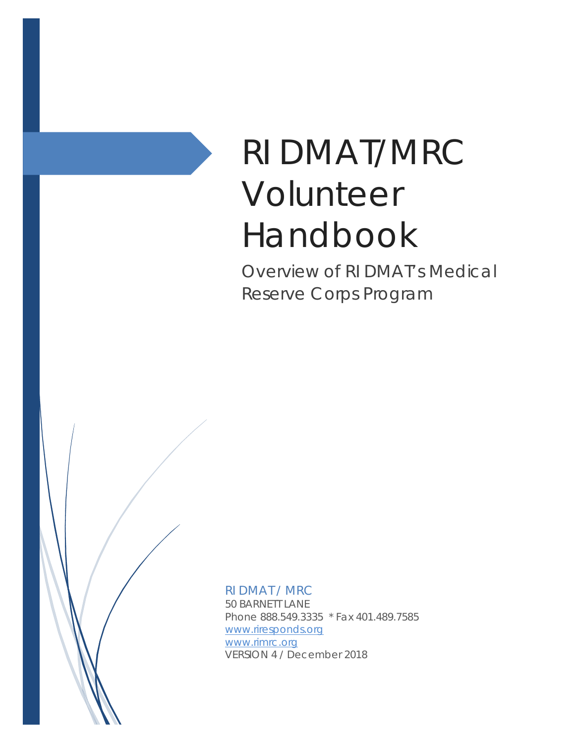# RI DMAT/MRC Volunteer Handbook

Overview of RI DMAT's Medical Reserve Corps Program

RI DMAT / MRC 50 BARNETT LANE Phone 888.549.3335 \* Fax 401.489.7585 [www.riresponds.org](http://www.riresponds.org/) [www.rimrc.org](http://www.rimrc.org/) VERSION 4 / December 2018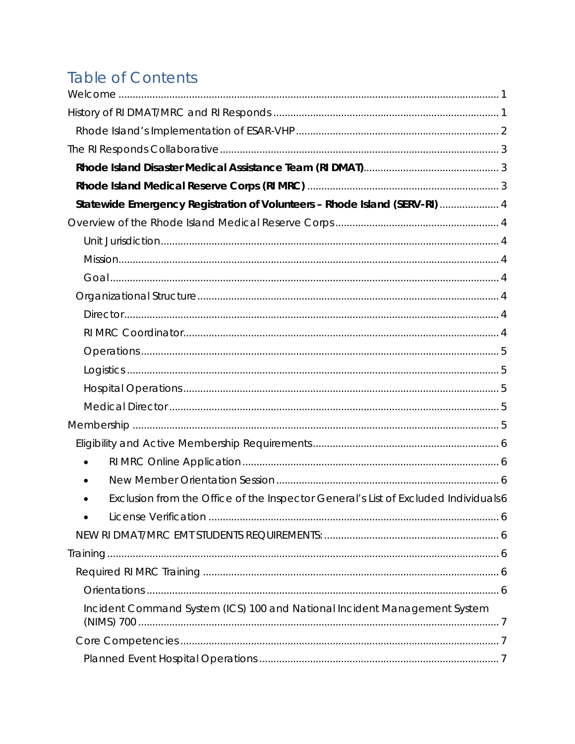# **Table of Contents**

| Statewide Emergency Registration of Volunteers - Rhode Island (SERV-RI)  4         |  |
|------------------------------------------------------------------------------------|--|
|                                                                                    |  |
|                                                                                    |  |
|                                                                                    |  |
|                                                                                    |  |
|                                                                                    |  |
|                                                                                    |  |
|                                                                                    |  |
|                                                                                    |  |
|                                                                                    |  |
|                                                                                    |  |
|                                                                                    |  |
|                                                                                    |  |
|                                                                                    |  |
| $\bullet$                                                                          |  |
|                                                                                    |  |
| Exclusion from the Office of the Inspector General's List of Excluded Individuals6 |  |
|                                                                                    |  |
|                                                                                    |  |
|                                                                                    |  |
|                                                                                    |  |
|                                                                                    |  |
| Incident Command System (ICS) 100 and National Incident Management System          |  |
|                                                                                    |  |
|                                                                                    |  |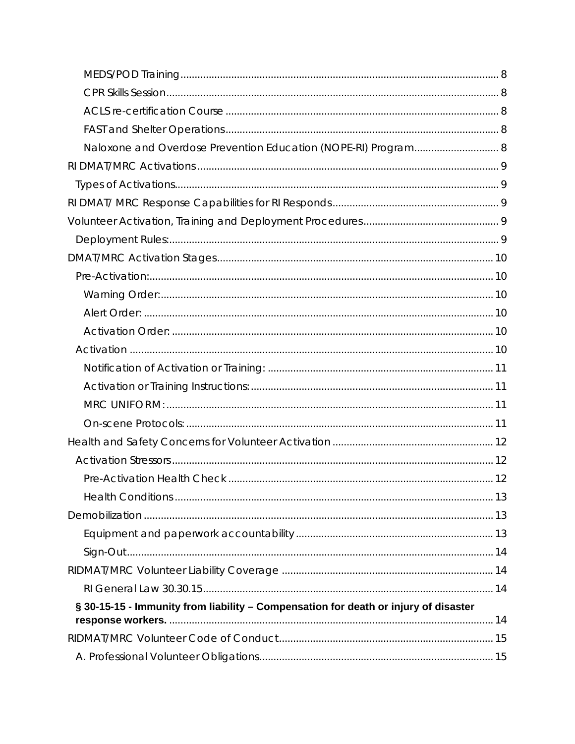| Naloxone and Overdose Prevention Education (NOPE-RI) Program 8                      |  |
|-------------------------------------------------------------------------------------|--|
|                                                                                     |  |
|                                                                                     |  |
|                                                                                     |  |
|                                                                                     |  |
|                                                                                     |  |
|                                                                                     |  |
|                                                                                     |  |
|                                                                                     |  |
|                                                                                     |  |
|                                                                                     |  |
|                                                                                     |  |
|                                                                                     |  |
|                                                                                     |  |
|                                                                                     |  |
|                                                                                     |  |
|                                                                                     |  |
|                                                                                     |  |
|                                                                                     |  |
|                                                                                     |  |
|                                                                                     |  |
|                                                                                     |  |
|                                                                                     |  |
|                                                                                     |  |
|                                                                                     |  |
| § 30-15-15 - Immunity from liability - Compensation for death or injury of disaster |  |
|                                                                                     |  |
|                                                                                     |  |
|                                                                                     |  |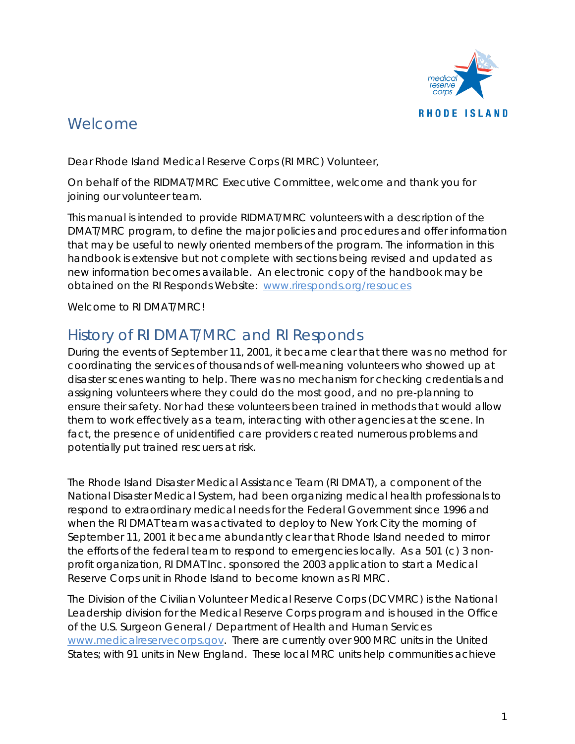

# <span id="page-4-0"></span>Welcome

Dear Rhode Island Medical Reserve Corps (RI MRC) Volunteer,

On behalf of the RIDMAT/MRC Executive Committee, welcome and thank you for joining our volunteer team.

This manual is intended to provide RIDMAT/MRC volunteers with a description of the DMAT/MRC program, to define the major policies and procedures and offer information that may be useful to newly oriented members of the program. The information in this handbook is extensive but not complete with sections being revised and updated as new information becomes available. An electronic copy of the handbook may be obtained on the RI Responds Website: [www.riresponds.org/resouces](http://www.riresponds.org/resouces)

Welcome to RI DMAT/MRC!

# <span id="page-4-1"></span>History of RI DMAT/MRC and RI Responds

During the events of September 11, 2001, it became clear that there was no method for coordinating the services of thousands of well-meaning volunteers who showed up at disaster scenes wanting to help. There was no mechanism for checking credentials and assigning volunteers where they could do the most good, and no pre-planning to ensure their safety. Nor had these volunteers been trained in methods that would allow them to work effectively as a team, interacting with other agencies at the scene. In fact, the presence of unidentified care providers created numerous problems and potentially put trained rescuers at risk.

The Rhode Island Disaster Medical Assistance Team (RI DMAT), a component of the National Disaster Medical System, had been organizing medical health professionals to respond to extraordinary medical needs for the Federal Government since 1996 and when the RI DMAT team was activated to deploy to New York City the morning of September 11, 2001 it became abundantly clear that Rhode Island needed to mirror the efforts of the federal team to respond to emergencies locally. As a 501 (c) 3 nonprofit organization, RI DMAT Inc. sponsored the 2003 application to start a Medical Reserve Corps unit in Rhode Island to become known as RI MRC.

The Division of the Civilian Volunteer Medical Reserve Corps (DCVMRC) is the National Leadership division for the Medical Reserve Corps program and is housed in the Office of the U.S. Surgeon General / Department of Health and Human Services [www.medicalreservecorps.gov.](http://www.medicalreservecorps.gov/) There are currently over 900 MRC units in the United States; with 91 units in New England. These local MRC units help communities achieve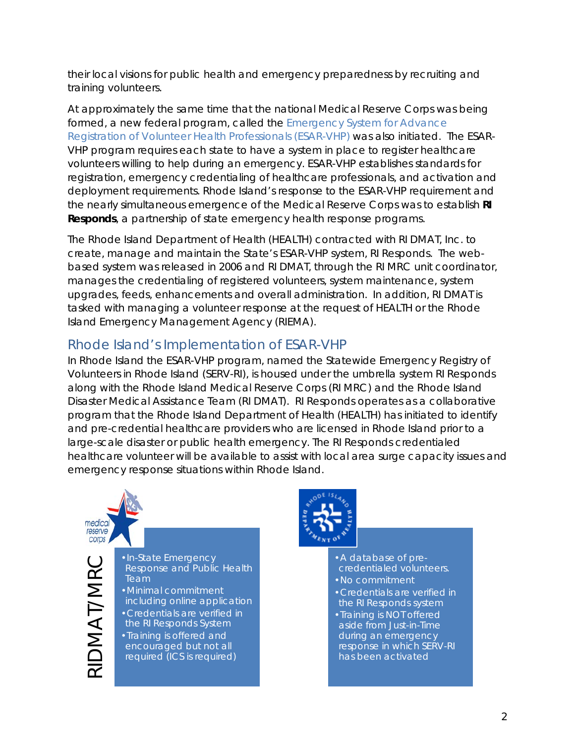their local visions for public health and emergency preparedness by recruiting and training volunteers.

At approximately the same time that the national Medical Reserve Corps was being formed, a new federal program, called the *Emergency System for Advance Registration of Volunteer Health Professionals (ESAR-VHP)* was also initiated. The ESAR-VHP program requires each state to have a system in place to register healthcare volunteers willing to help during an emergency. ESAR-VHP establishes standards for registration, emergency credentialing of healthcare professionals, and activation and deployment requirements. Rhode Island's response to the ESAR-VHP requirement and the nearly simultaneous emergence of the Medical Reserve Corps was to establish **RI Responds**, a partnership of state emergency health response programs.

The Rhode Island Department of Health (HEALTH) contracted with RI DMAT, Inc. to create, manage and maintain the State's ESAR-VHP system, RI Responds. The webbased system was released in 2006 and RI DMAT, through the RI MRC unit coordinator, manages the credentialing of registered volunteers, system maintenance, system upgrades, feeds, enhancements and overall administration. In addition, RI DMAT is tasked with managing a volunteer response at the request of HEALTH or the Rhode Island Emergency Management Agency (RIEMA).

# <span id="page-5-0"></span>Rhode Island's Implementation of ESAR-VHP

In Rhode Island the ESAR-VHP program, named the Statewide Emergency Registry of Volunteers in Rhode Island (SERV-RI), is housed under the umbrella system RI Responds along with the Rhode Island Medical Reserve Corps (RI MRC) and the Rhode Island Disaster Medical Assistance Team (RI DMAT). RI Responds operates as a collaborative program that the Rhode Island Department of Health (HEALTH) has initiated to identify and pre-credential healthcare providers who are licensed in Rhode Island *prior* to a large-scale disaster or public health emergency. The RI Responds credentialed healthcare volunteer will be available to assist with local area surge capacity issues and emergency response situations within Rhode Island.



• In-State Emergency<br>
Response and Public<br>
Team<br>
• Minimal commitmer<br>
including online app<br>
• Credentials are verif<br>
• Credentials are verif<br>
• Training is offered are<br>
• Credured (ICS is required (ICS is required (ICS is Response and Public Health **Team** •Minimal commitment including online application

•Credentials are verified in

the RI Responds System •Training is offered and encouraged but not all required (ICS is required)

•A database of precredentialed volunteers.

- •No commitment
- •Credentials are verified in the RI Responds system

•Training is NOT offered aside from Just-in-Time during an emergency response in which SERV-RI has been activated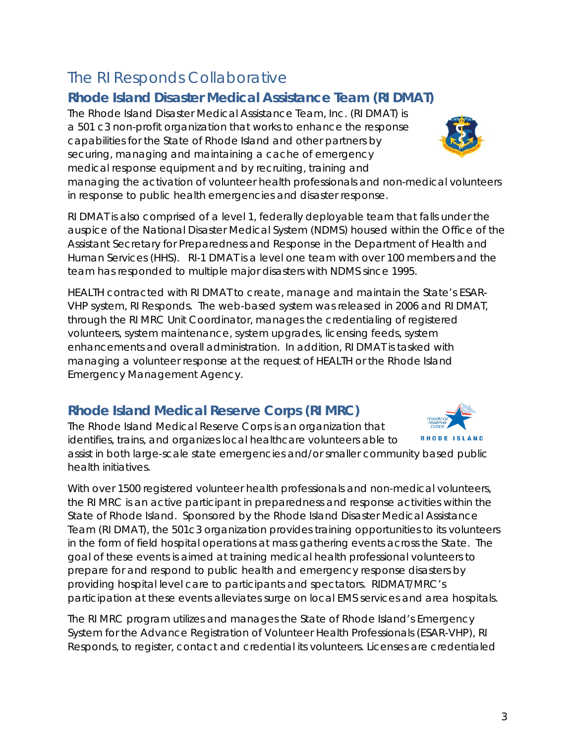# <span id="page-6-0"></span>The RI Responds Collaborative

# <span id="page-6-1"></span>**Rhode Island Disaster Medical Assistance Team (RI DMAT)**

The Rhode Island Disaster Medical Assistance Team, Inc. (RI DMAT) is a 501 c3 non-profit organization that works to enhance the response capabilities for the State of Rhode Island and other partners by securing, managing and maintaining a cache of emergency medical response equipment and by recruiting, training and

managing the activation of volunteer health professionals and non-medical volunteers in response to public health emergencies and disaster response.

RI DMAT is also comprised of a level 1, federally deployable team that falls under the auspice of the National Disaster Medical System (NDMS) housed within the Office of the Assistant Secretary for Preparedness and Response in the Department of Health and Human Services (HHS). RI-1 DMAT is a level one team with over 100 members and the team has responded to multiple major disasters with NDMS since 1995.

HEALTH contracted with RI DMAT to create, manage and maintain the State's ESAR-VHP system, RI Responds. The web-based system was released in 2006 and RI DMAT, through the RI MRC Unit Coordinator, manages the credentialing of registered volunteers, system maintenance, system upgrades, licensing feeds, system enhancements and overall administration. In addition, RI DMAT is tasked with managing a volunteer response at the request of HEALTH or the Rhode Island Emergency Management Agency.

# <span id="page-6-2"></span>**Rhode Island Medical Reserve Corps (RI MRC)**

The Rhode Island Medical Reserve Corps is an organization that **RHODE ISLAND** identifies, trains, and organizes local healthcare volunteers able to assist in both large-scale state emergencies and/or smaller community based public health initiatives.

With over 1500 registered volunteer health professionals and non-medical volunteers, the RI MRC is an active participant in preparedness and response activities within the State of Rhode Island. Sponsored by the Rhode Island Disaster Medical Assistance Team (RI DMAT), the 501c3 organization provides training opportunities to its volunteers in the form of field hospital operations at mass gathering events across the State. The goal of these events is aimed at training medical health professional volunteers to prepare for and respond to public health and emergency response disasters by providing hospital level care to participants and spectators. RIDMAT/MRC's participation at these events alleviates surge on local EMS services and area hospitals.

The RI MRC program utilizes and manages the State of Rhode Island's Emergency System for the Advance Registration of Volunteer Health Professionals (ESAR-VHP), RI Responds, to register, contact and credential its volunteers. Licenses are credentialed





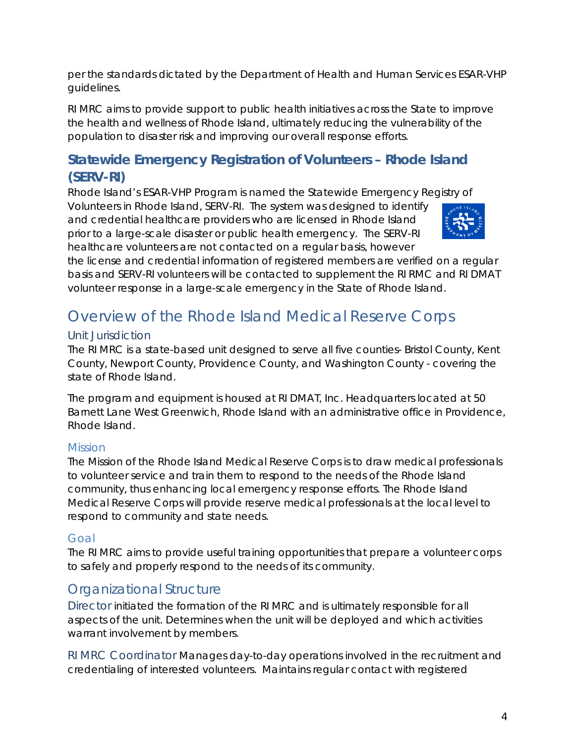per the standards dictated by the Department of Health and Human Services ESAR-VHP guidelines.

RI MRC aims to provide support to public health initiatives across the State to improve the health and wellness of Rhode Island, ultimately reducing the vulnerability of the population to disaster risk and improving our overall response efforts.

# <span id="page-7-0"></span>**Statewide Emergency Registration of Volunteers – Rhode Island (SERV-RI)**

Rhode Island's ESAR-VHP Program is named the Statewide Emergency Registry of

Volunteers in Rhode Island, SERV-RI. The system was designed to identify and credential healthcare providers who are licensed in Rhode Island prior to a large-scale disaster or public health emergency. The SERV-RI healthcare volunteers are not contacted on a regular basis, however



the license and credential information of registered members are verified on a regular basis and SERV-RI volunteers will be contacted to supplement the RI RMC and RI DMAT volunteer response in a large-scale emergency in the State of Rhode Island.

# <span id="page-7-1"></span>Overview of the Rhode Island Medical Reserve Corps

### <span id="page-7-2"></span>Unit Jurisdiction

The RI MRC is a state-based unit designed to serve all five counties- Bristol County, Kent County, Newport County, Providence County, and Washington County - covering the state of Rhode Island.

The program and equipment is housed at RI DMAT, Inc. Headquarters located at 50 Barnett Lane West Greenwich, Rhode Island with an administrative office in Providence, Rhode Island.

#### <span id="page-7-3"></span>*Mission*

The Mission of the Rhode Island Medical Reserve Corps is to draw medical professionals to volunteer service and train them to respond to the needs of the Rhode Island community, thus enhancing local emergency response efforts. The Rhode Island Medical Reserve Corps will provide reserve medical professionals at the local level to respond to community and state needs.

#### <span id="page-7-4"></span>*Goal*

The RI MRC aims to provide useful training opportunities that prepare a volunteer corps to safely and properly respond to the needs of its community.

# <span id="page-7-5"></span>Organizational Structure

<span id="page-7-6"></span>Director initiated the formation of the RI MRC and is ultimately responsible for all aspects of the unit. Determines when the unit will be deployed and which activities warrant involvement by members.

<span id="page-7-7"></span>RI MRC Coordinator Manages day-to-day operations involved in the recruitment and credentialing of interested volunteers. Maintains regular contact with registered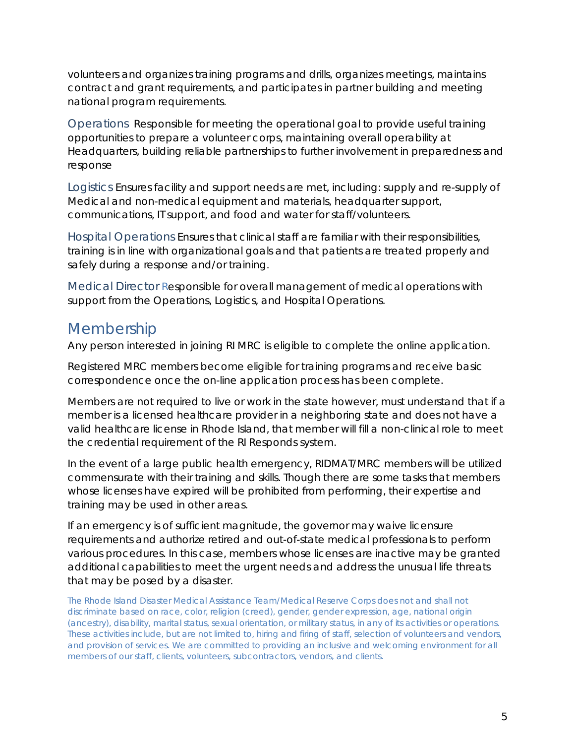volunteers and organizes training programs and drills, organizes meetings, maintains contract and grant requirements, and participates in partner building and meeting national program requirements.

<span id="page-8-0"></span>Operations Responsible for meeting the operational goal to provide useful training opportunities to prepare a volunteer corps, maintaining overall operability at Headquarters, building reliable partnerships to further involvement in preparedness and response

<span id="page-8-1"></span>Logistics Ensures facility and support needs are met, including: supply and re-supply of Medical and non-medical equipment and materials, headquarter support, communications, IT support, and food and water for staff/volunteers.

<span id="page-8-2"></span>Hospital Operations Ensures that clinical staff are familiar with their responsibilities, training is in line with organizational goals and that patients are treated properly and safely during a response and/or training.

<span id="page-8-3"></span>Medical Director *R*esponsible for overall management of medical operations with support from the Operations, Logistics, and Hospital Operations.

# <span id="page-8-4"></span>Membership

Any person interested in joining RI MRC is eligible to complete the online application.

Registered MRC members become eligible for training programs and receive basic correspondence once the on-line application process has been complete.

Members are not required to live or work in the state however, must understand that if a member is a licensed healthcare provider in a neighboring state and does not have a valid healthcare license in Rhode Island, that member will fill a non-clinical role to meet the credential requirement of the RI Responds system.

In the event of a large public health emergency, RIDMAT/MRC members will be utilized commensurate with their training and skills. Though there are some tasks that members whose licenses have expired will be prohibited from performing, their expertise and training may be used in other areas.

If an emergency is of sufficient magnitude, the governor may waive licensure requirements and authorize retired and out-of-state medical professionals to perform various procedures. In this case, members whose licenses are inactive may be granted additional capabilities to meet the urgent needs and address the unusual life threats that may be posed by a disaster.

*The Rhode Island Disaster Medical Assistance Team/Medical Reserve Corps does not and shall not discriminate based on race, color, religion (creed), gender, gender expression, age, national origin (ancestry), disability, marital status, sexual orientation, or military status, in any of its activities or operations. These activities include, but are not limited to, hiring and firing of staff, selection of volunteers and vendors, and provision of services. We are committed to providing an inclusive and welcoming environment for all members of our staff, clients, volunteers, subcontractors, vendors, and clients.*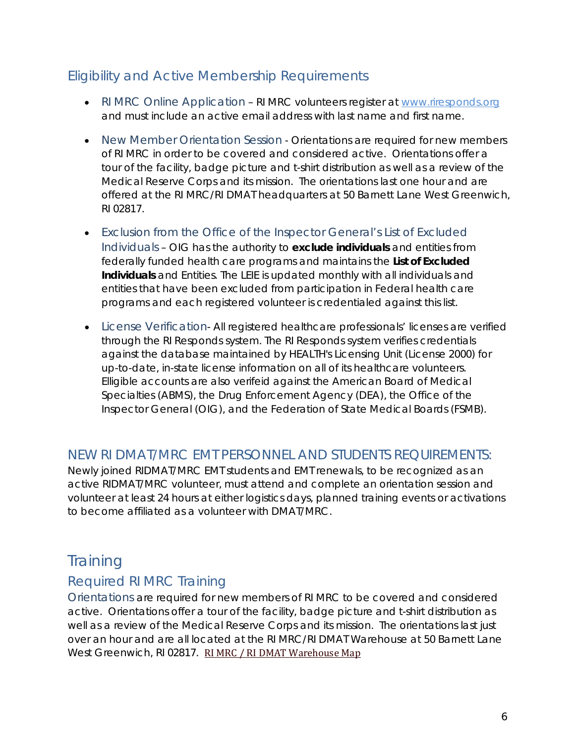# <span id="page-9-1"></span><span id="page-9-0"></span>Eligibility and Active Membership Requirements

- RI MRC Online Application RI MRC volunteers register at www.riresponds.org and must include an active email address with last name and first name.
- <span id="page-9-2"></span>• New Member Orientation Session - Orientations are required for new members of RI MRC in order to be covered and considered active. Orientations offer a tour of the facility, badge picture and t-shirt distribution as well as a review of the Medical Reserve Corps and its mission. The orientations last one hour and are offered at the RI MRC/RI DMAT headquarters at 50 Barnett Lane West Greenwich, RI 02817.
- <span id="page-9-3"></span>• Exclusion from the Office of the Inspector General's List of Excluded Individuals – OIG has the authority to **exclude individuals** and entities from federally funded health care programs and maintains the **List of Excluded Individuals** and Entities. The LEIE is updated monthly with all individuals and entities that have been excluded from participation in Federal health care programs and each registered volunteer is credentialed against this list.
- <span id="page-9-4"></span>• License Verification - All registered healthcare professionals' licenses are verified through the RI Responds system. The RI Responds system verifies credentials against the database maintained by HEALTH's Licensing Unit (License 2000) for up-to-date, in-state license information on all of its healthcare volunteers. Elligible accounts are also verifeid against the American Board of Medical Specialties (ABMS), the Drug Enforcement Agency (DEA), the Office of the Inspector General (OIG), and the Federation of State Medical Boards (FSMB).

### <span id="page-9-5"></span>NEW RI DMAT/MRC EMT PERSONNEL AND STUDENTS REQUIREMENTS:

Newly joined RIDMAT/MRC EMT students and EMT renewals, to be recognized as an active RIDMAT/MRC volunteer, must attend and complete an orientation session and volunteer at least 24 hours at either logistics days, planned training events or activations to become affiliated as a volunteer with DMAT/MRC.

# <span id="page-9-6"></span>**Training**

# <span id="page-9-7"></span>Required RI MRC Training

<span id="page-9-8"></span>Orientations are required for new members of RI MRC to be covered and considered active. Orientations offer a tour of the facility, badge picture and t-shirt distribution as well as a review of the Medical Reserve Corps and its mission. The orientations last just over an hour and are all located at the RI MRC/RI DMAT Warehouse at 50 Barnett Lane West Greenwich, RI 02817. [RI MRC / RI DMAT Warehouse Map](http://maps.google.com/maps/ms?msid=217850986784547344949.0004a02d20116a7b6f023&msa=0&ll=41.607389,-71.658754&spn=0.004661,0.008422)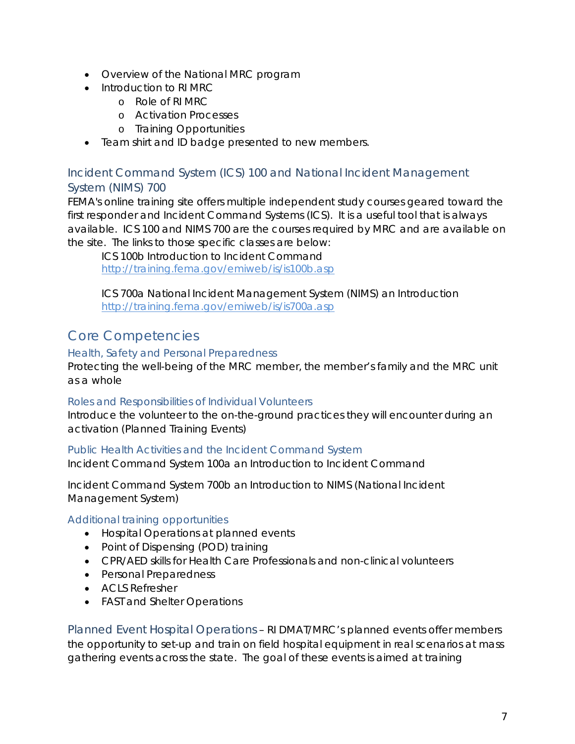- Overview of the National MRC program
- Introduction to RI MRC
	- o Role of RI MRC
	- o Activation Processes
	- o Training Opportunities
- Team shirt and ID badge presented to new members.

### <span id="page-10-0"></span>Incident Command System (ICS) 100 and National Incident Management System (NIMS) 700

FEMA's online training site offers multiple independent study courses geared toward the first responder and Incident Command Systems (ICS). It is a useful tool that is always available. ICS 100 and NIMS 700 are the courses required by MRC and are available on the site. The links to those specific classes are below:

ICS 100b Introduction to Incident Command <http://training.fema.gov/emiweb/is/is100b.asp>

ICS 700a National Incident Management System (NIMS) an Introduction <http://training.fema.gov/emiweb/is/is700a.asp>

# <span id="page-10-1"></span>Core Competencies

#### *Health, Safety and Personal Preparedness*

Protecting the well-being of the MRC member, the member's family and the MRC unit as a whole

#### *Roles and Responsibilities of Individual Volunteers*

Introduce the volunteer to the on-the-ground practices they will encounter during an activation (Planned Training Events)

#### *Public Health Activities and the Incident Command System*

Incident Command System 100a an Introduction to Incident Command

Incident Command System 700b an Introduction to NIMS (National Incident Management System)

#### *Additional training opportunities*

- Hospital Operations at planned events
- Point of Dispensing (POD) training
- CPR/AED skills for Health Care Professionals and non-clinical volunteers
- Personal Preparedness
- ACLS Refresher
- FAST and Shelter Operations

<span id="page-10-2"></span>Planned Event Hospital Operations – RI DMAT/MRC's planned events offer members the opportunity to set-up and train on field hospital equipment in real scenarios at mass gathering events across the state. The goal of these events is aimed at training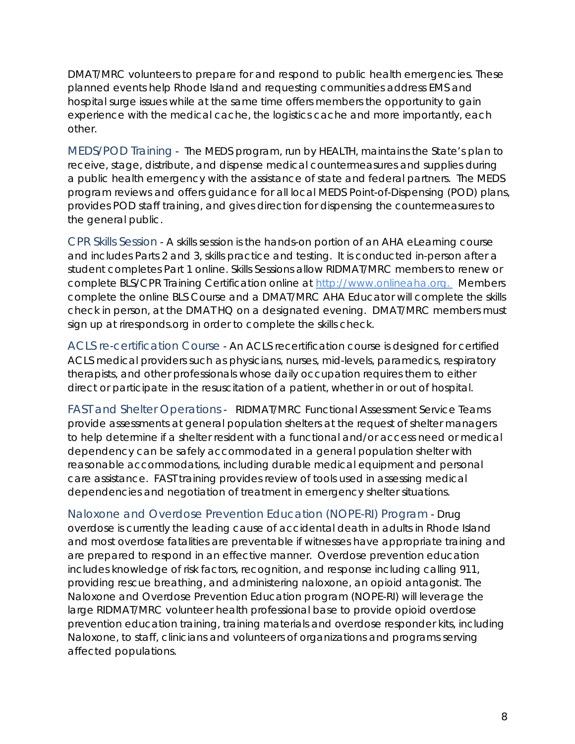DMAT/MRC volunteers to prepare for and respond to public health emergencies. These planned events help Rhode Island and requesting communities address EMS and hospital surge issues while at the same time offers members the opportunity to gain experience with the medical cache, the logistics cache and more importantly, each other.

<span id="page-11-0"></span>MEDS/POD Training - The MEDS program, run by HEALTH, maintains the State's plan to receive, stage, distribute, and dispense medical countermeasures and supplies during a public health emergency with the assistance of state and federal partners. The MEDS program reviews and offers guidance for all local MEDS Point-of-Dispensing (POD) plans, provides POD staff training, and gives direction for dispensing the countermeasures to the general public.

<span id="page-11-1"></span>CPR Skills Session - A skills session is the hands-on portion of an AHA eLearning course and includes Parts 2 and 3, skills practice and testing. It is conducted in-person after a student completes Part 1 online. Skills Sessions allow RIDMAT/MRC members to renew or complete BLS/CPR Training Certification online at [http://www.onlineaha.org.](http://www.onlineaha.org/index.cfm?fuseaction=main.courseCatalog&f=filter_healthcare) Members complete the online BLS Course and a DMAT/MRC AHA Educator will complete the skills check in person, at the DMAT HQ on a designated evening. DMAT/MRC members must sign up at riresponds.org in order to complete the skills check.

<span id="page-11-2"></span>ACLS re-certification Course - An ACLS recertification course is designed for certified ACLS medical providers such as physicians, nurses, mid-levels, paramedics, respiratory therapists, and other professionals whose daily occupation requires them to either direct or participate in the resuscitation of a patient, whether in or out of hospital.

<span id="page-11-3"></span>FAST and Shelter Operations - RIDMAT/MRC Functional Assessment Service Teams provide assessments at general population shelters at the request of shelter managers to help determine if a shelter resident with a functional and/or access need or medical dependency can be safely accommodated in a general population shelter with reasonable accommodations, including durable medical equipment and personal care assistance. FAST training provides review of tools used in assessing medical dependencies and negotiation of treatment in emergency shelter situations.

<span id="page-11-4"></span>Naloxone and Overdose Prevention Education (NOPE-RI) Program - Drug overdose is currently the leading cause of accidental death in adults in Rhode Island and most overdose fatalities are preventable if witnesses have appropriate training and are prepared to respond in an effective manner. Overdose prevention education includes knowledge of risk factors, recognition, and response including calling 911, providing rescue breathing, and administering naloxone, an opioid antagonist. The Naloxone and Overdose Prevention Education program (NOPE-RI) will leverage the large RIDMAT/MRC volunteer health professional base to provide opioid overdose prevention education training, training materials and overdose responder kits, including Naloxone, to staff, clinicians and volunteers of organizations and programs serving affected populations.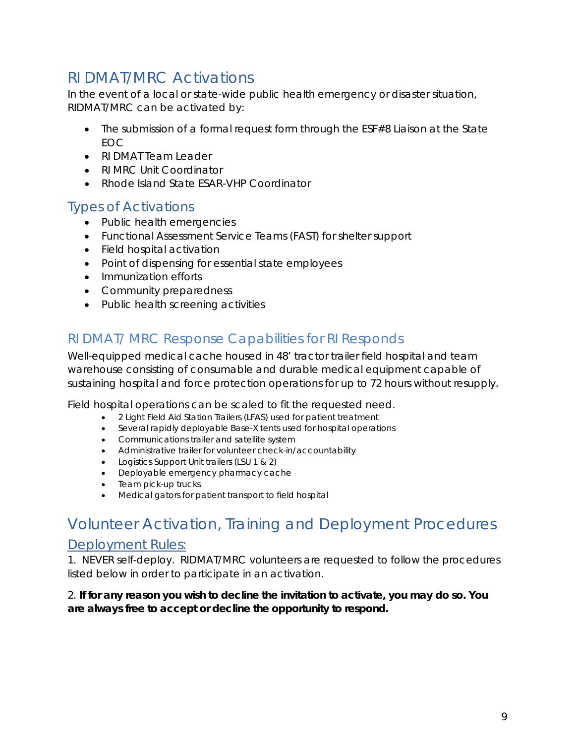# <span id="page-12-0"></span>RI DMAT/MRC Activations

In the event of a local or state-wide public health emergency or disaster situation, RIDMAT/MRC can be activated by:

- The submission of a formal request form through the ESF#8 Liaison at the State EOC
- RI DMAT Team Leader
- RI MRC Unit Coordinator
- Rhode Island State ESAR-VHP Coordinator

### <span id="page-12-1"></span>Types of Activations

- Public health emergencies
- Functional Assessment Service Teams (FAST) for shelter support
- Field hospital activation
- Point of dispensing for essential state employees
- Immunization efforts
- Community preparedness
- Public health screening activities

# <span id="page-12-2"></span>RI DMAT/ MRC Response Capabilities for RI Responds

Well-equipped medical cache housed in 48' tractor trailer field hospital and team warehouse consisting of consumable and durable medical equipment capable of sustaining hospital and force protection operations for up to 72 hours without resupply.

Field hospital operations can be scaled to fit the requested need.

- 2 Light Field Aid Station Trailers (LFAS) used for patient treatment
- Several rapidly deployable Base-X tents used for hospital operations
- Communications trailer and satellite system
- Administrative trailer for volunteer check-in/accountability
- Logistics Support Unit trailers (LSU 1 & 2)
- Deployable emergency pharmacy cache
- Team pick-up trucks
- Medical gators for patient transport to field hospital

# <span id="page-12-3"></span>Volunteer Activation, Training and Deployment Procedures

### <span id="page-12-4"></span>Deployment Rules:

1. NEVER self-deploy. RIDMAT/MRC volunteers are requested to follow the procedures listed below in order to participate in an activation.

#### *2. If for any reason you wish to decline the invitation to activate, you may do so. You are always free to accept or decline the opportunity to respond.*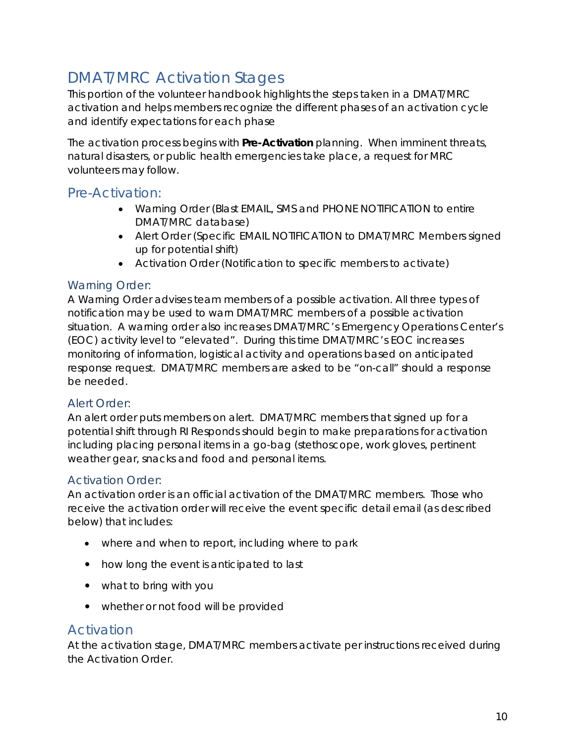# <span id="page-13-0"></span>DMAT/MRC Activation Stages

This portion of the volunteer handbook highlights the steps taken in a DMAT/MRC activation and helps members recognize the different phases of an activation cycle and identify expectations for each phase

The activation process begins with **Pre-Activation** planning. When imminent threats, natural disasters, or public health emergencies take place, a request for MRC volunteers may follow.

### <span id="page-13-1"></span>Pre-Activation:

- Warning Order (Blast EMAIL, SMS and PHONE NOTIFICATION to entire DMAT/MRC database)
- Alert Order (Specific EMAIL NOTIFICATION to DMAT/MRC Members signed up for potential shift)
- Activation Order (Notification to specific members to activate)

### <span id="page-13-2"></span>Warning Order:

A Warning Order advises team members of a possible activation. All three types of notification may be used to warn DMAT/MRC members of a possible activation situation. A warning order also increases DMAT/MRC's Emergency Operations Center's (EOC) activity level to "elevated". During this time DMAT/MRC's EOC increases monitoring of information, logistical activity and operations based on anticipated response request. DMAT/MRC members are asked to be "on-call" should a response be needed.

### <span id="page-13-3"></span>Alert Order:

An alert order puts members on alert. DMAT/MRC members that signed up for a potential shift through RI Responds should begin to make preparations for activation including placing personal items in a go-bag (stethoscope, work gloves, pertinent weather gear, snacks and food and personal items.

#### <span id="page-13-4"></span>Activation Order:

An activation order is an official activation of the DMAT/MRC members. Those who receive the activation order will receive the event specific detail email (as described below) that includes:

- where and when to report, including where to park
- how long the event is anticipated to last
- what to bring with you
- whether or not food will be provided

### <span id="page-13-5"></span>Activation

At the activation stage, DMAT/MRC members activate per instructions received during the Activation Order.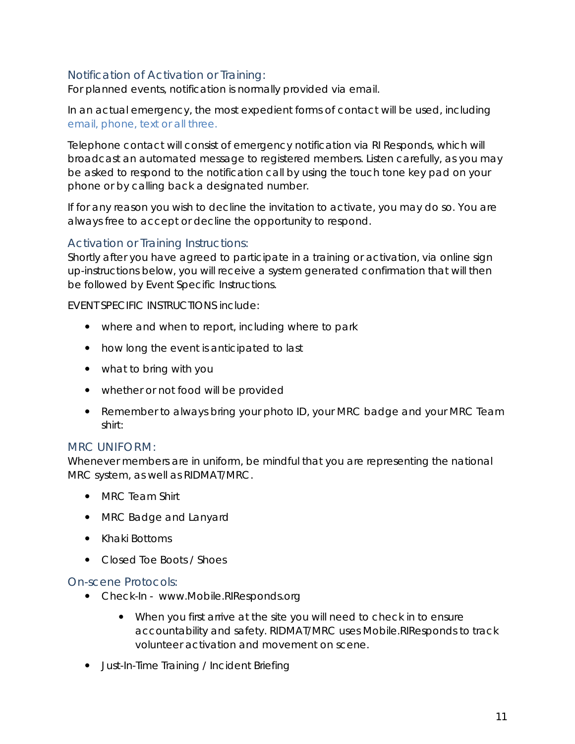### <span id="page-14-0"></span>Notification of Activation or Training:

For planned events, notification is normally provided via email.

In an actual emergency, the most expedient forms of contact will be used, including *email, phone, text or all three.* 

Telephone contact will consist of emergency notification via RI Responds, which will broadcast an automated message to registered members. Listen carefully, as you may be asked to respond to the notification call by using the touch tone key pad on your phone or by calling back a designated number.

If for any reason you wish to decline the invitation to activate, you may do so. You are always free to accept or decline the opportunity to respond.

#### <span id="page-14-1"></span>Activation or Training Instructions:

Shortly after you have agreed to participate in a training or activation, via online sign up-instructions below, you will receive a system generated confirmation that will then be followed by Event Specific Instructions.

EVENT SPECIFIC INSTRUCTIONS include:

- where and when to report, including where to park
- how long the event is anticipated to last
- what to bring with you
- whether or not food will be provided
- Remember to always bring your photo ID, your MRC badge and your MRC Team shirt:

#### <span id="page-14-2"></span>MRC *UNIFORM*:

Whenever members are in uniform, be mindful that you are representing the national MRC system, as well as RIDMAT/MRC.

- MRC Team Shirt
- MRC Badge and Lanyard
- Khaki Bottoms
- Closed Toe Boots / Shoes

#### <span id="page-14-3"></span>On-scene Protocols:

- Check-In www.Mobile.RIResponds.org
	- When you first arrive at the site you will need to check in to ensure accountability and safety. RIDMAT/MRC uses Mobile.RIResponds to track volunteer activation and movement on scene.
- Just-In-Time Training / Incident Briefing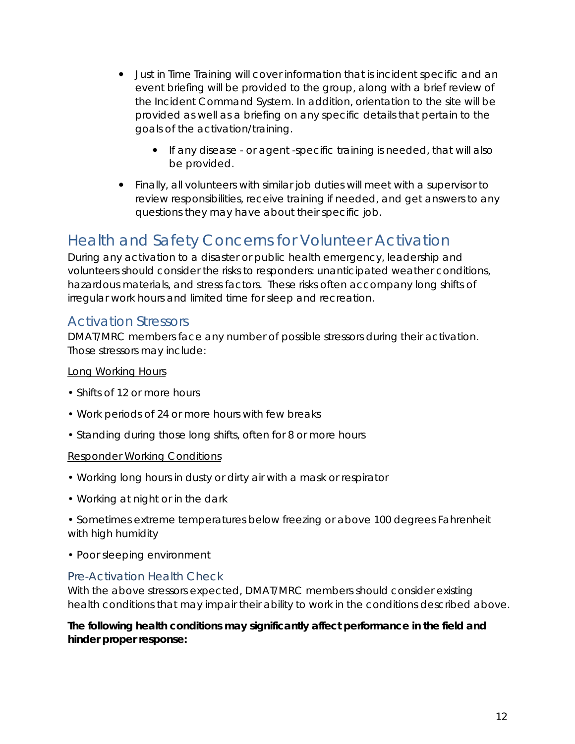- Just in Time Training will cover information that is incident specific and an event briefing will be provided to the group, along with a brief review of the Incident Command System. In addition, orientation to the site will be provided as well as a briefing on any specific details that pertain to the goals of the activation/training.
	- If any disease or agent -specific training is needed, that will also be provided.
- Finally, all volunteers with similar job duties will meet with a supervisor to review responsibilities, receive training if needed, and get answers to any questions they may have about their specific job.

# <span id="page-15-0"></span>Health and Safety Concerns for Volunteer Activation

During any activation to a disaster or public health emergency, leadership and volunteers should consider the risks to responders: unanticipated weather conditions, hazardous materials, and stress factors. These risks often accompany long shifts of irregular work hours and limited time for sleep and recreation.

### <span id="page-15-1"></span>Activation Stressors

DMAT/MRC members face any number of possible stressors during their activation. Those stressors may include:

#### Long Working Hours

- Shifts of 12 or more hours
- Work periods of 24 or more hours with few breaks
- Standing during those long shifts, often for 8 or more hours

#### Responder Working Conditions

- Working long hours in dusty or dirty air with a mask or respirator
- Working at night or in the dark
- Sometimes extreme temperatures below freezing or above 100 degrees Fahrenheit with high humidity
- Poor sleeping environment

#### <span id="page-15-2"></span>Pre-Activation Health Check

With the above stressors expected, DMAT/MRC members should consider existing health conditions that may impair their ability to work in the conditions described above.

#### **The following health conditions may significantly affect performance in the field and hinder proper response:**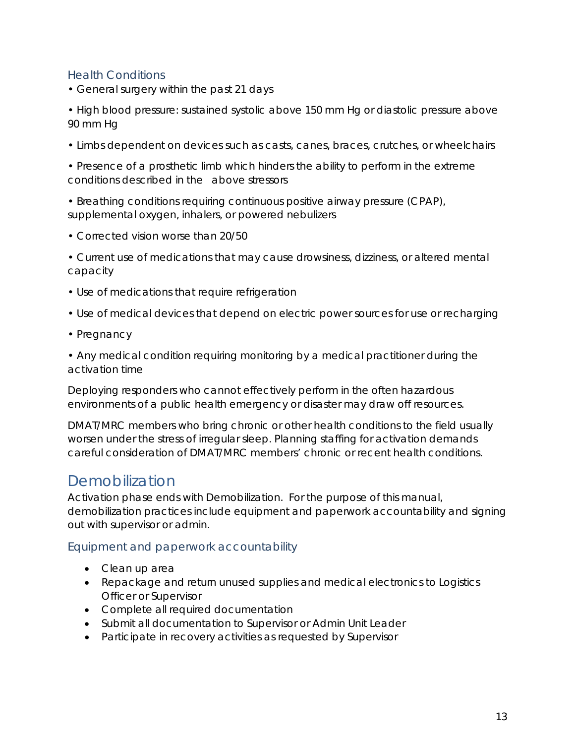### <span id="page-16-0"></span>Health Conditions

• General surgery within the past 21 days

• High blood pressure: sustained systolic above 150 mm Hg or diastolic pressure above 90 mm Hg

• Limbs dependent on devices such as casts, canes, braces, crutches, or wheelchairs

• Presence of a prosthetic limb which hinders the ability to perform in the extreme conditions described in the above stressors

• Breathing conditions requiring continuous positive airway pressure (CPAP), supplemental oxygen, inhalers, or powered nebulizers

• Corrected vision worse than 20/50

• Current use of medications that may cause drowsiness, dizziness, or altered mental capacity

- Use of medications that require refrigeration
- Use of medical devices that depend on electric power sources for use or recharging
- Pregnancy

• Any medical condition requiring monitoring by a medical practitioner during the activation time

Deploying responders who cannot effectively perform in the often hazardous environments of a public health emergency or disaster may draw off resources.

DMAT/MRC members who bring chronic or other health conditions to the field usually worsen under the stress of irregular sleep. Planning staffing for activation demands careful consideration of DMAT/MRC members' chronic or recent health conditions.

# <span id="page-16-1"></span>Demobilization

Activation phase ends with Demobilization. For the purpose of this manual, demobilization practices include equipment and paperwork accountability and signing out with supervisor or admin.

#### <span id="page-16-2"></span>Equipment and paperwork accountability

- Clean up area
- Repackage and return unused supplies and medical electronics to Logistics Officer or Supervisor
- Complete all required documentation
- Submit all documentation to Supervisor or Admin Unit Leader
- Participate in recovery activities as requested by Supervisor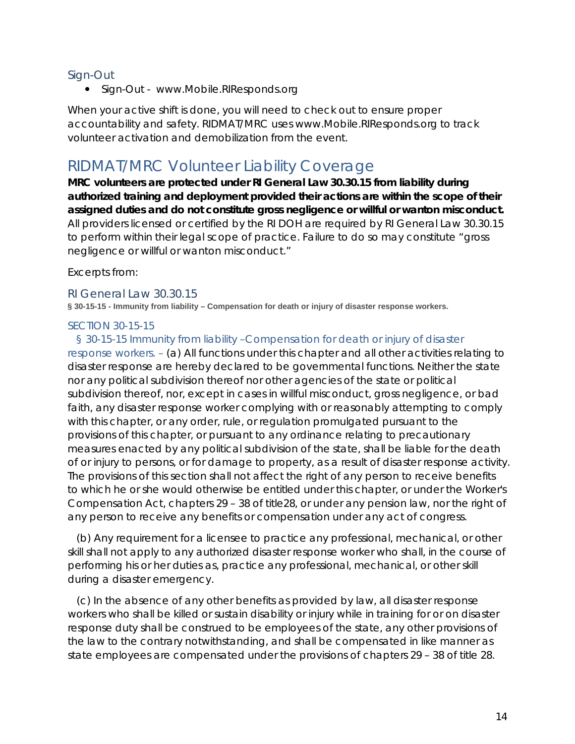#### <span id="page-17-0"></span>Sign-Out

• Sign-Out - www.Mobile.RIResponds.org

When your active shift is done, you will need to check out to ensure proper accountability and safety. RIDMAT/MRC uses www.Mobile.RIResponds.org to track volunteer activation and demobilization from the event.

# <span id="page-17-1"></span>RIDMAT/MRC Volunteer Liability Coverage

**MRC volunteers are protected under RI General Law 30.30.15 from liability during authorized training and deployment provided their actions are within the scope of their assigned duties and do not constitute gross negligence or willful or wanton misconduct.** All providers licensed or certified by the RI DOH are required by RI General Law 30.30.15 to perform within their legal scope of practice. Failure to do so may constitute "gross negligence or willful or wanton misconduct."

*Excerpts from:*

#### <span id="page-17-2"></span>RI General Law 30.30.15

<span id="page-17-3"></span>**§ 30-15-15 - Immunity from liability – Compensation for death or injury of disaster response workers.**

#### *SECTION 30-15-15*

§ 30-15-15 Immunity from liability –Compensation for death or injury of disaster

response workers. – (a) All functions under this chapter and all other activities relating to disaster response are hereby declared to be governmental functions. Neither the state nor any political subdivision thereof nor other agencies of the state or political subdivision thereof, nor, except in cases in willful misconduct, gross negligence, or bad faith, any disaster response worker complying with or reasonably attempting to comply with this chapter, or any order, rule, or regulation promulgated pursuant to the provisions of this chapter, or pursuant to any ordinance relating to precautionary measures enacted by any political subdivision of the state, shall be liable for the death of or injury to persons, or for damage to property, as a result of disaster response activity. The provisions of this section shall not affect the right of any person to receive benefits to which he or she would otherwise be entitled under this chapter, or under the Worker's Compensation Act, chapters 29 – 38 of title28, or under any pension law, nor the right of any person to receive any benefits or compensation under any act of congress.

(b) Any requirement for a licensee to practice any professional, mechanical, or other skill shall not apply to any authorized disaster response worker who shall, in the course of performing his or her duties as, practice any professional, mechanical, or other skill during a disaster emergency.

(c) In the absence of any other benefits as provided by law, all disaster response workers who shall be killed or sustain disability or injury while in training for or on disaster response duty shall be construed to be employees of the state, any other provisions of the law to the contrary notwithstanding, and shall be compensated in like manner as state employees are compensated under the provisions of chapters 29 – 38 of title 28.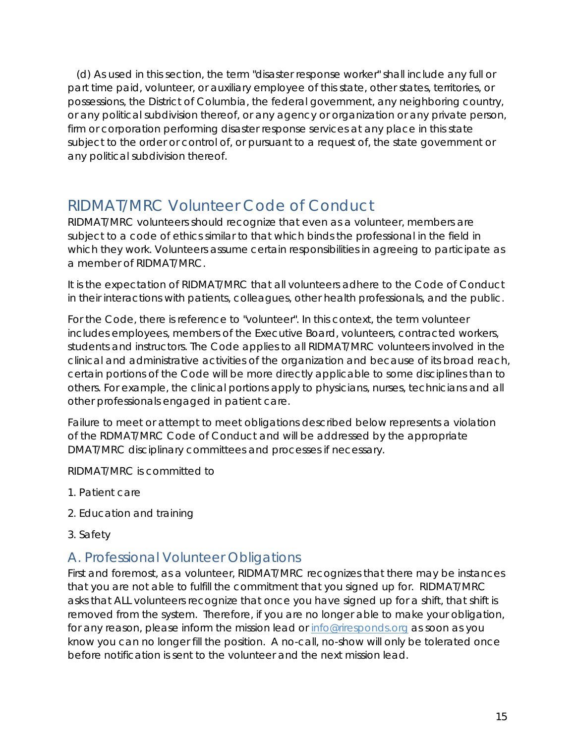(d) As used in this section, the term "disaster response worker" shall include any full or part time paid, volunteer, or auxiliary employee of this state, other states, territories, or possessions, the District of Columbia, the federal government, any neighboring country, or any political subdivision thereof, or any agency or organization or any private person, firm or corporation performing disaster response services at any place in this state subject to the order or control of, or pursuant to a request of, the state government or any political subdivision thereof.

# <span id="page-18-0"></span>RIDMAT/MRC Volunteer Code of Conduct

RIDMAT/MRC volunteers should recognize that even as a volunteer, members are subject to a code of ethics similar to that which binds the professional in the field in which they work. Volunteers assume certain responsibilities in agreeing to participate as a member of RIDMAT/MRC.

It is the expectation of RIDMAT/MRC that all volunteers adhere to the Code of Conduct in their interactions with patients, colleagues, other health professionals, and the public.

For the Code, there is reference to "volunteer". In this context, the term volunteer includes employees, members of the Executive Board, volunteers, contracted workers, students and instructors. The Code applies to all RIDMAT/MRC volunteers involved in the clinical and administrative activities of the organization and because of its broad reach, certain portions of the Code will be more directly applicable to some disciplines than to others. For example, the clinical portions apply to physicians, nurses, technicians and all other professionals engaged in patient care.

Failure to meet or attempt to meet obligations described below represents a violation of the RDMAT/MRC Code of Conduct and will be addressed by the appropriate DMAT/MRC disciplinary committees and processes if necessary.

RIDMAT/MRC is committed to

- 1. Patient care
- 2. Education and training
- 3. Safety

### <span id="page-18-1"></span>A. Professional Volunteer Obligations

First and foremost, as a volunteer, RIDMAT/MRC recognizes that there may be instances that you are not able to fulfill the commitment that you signed up for. RIDMAT/MRC asks that ALL volunteers recognize that once you have signed up for a shift, that shift is removed from the system. Therefore, if you are no longer able to make your obligation, for any reason, please inform the mission lead or [info@riresponds.org](mailto:info@riresponds.org) as soon as you know you can no longer fill the position. A no-call, no-show will only be tolerated once before notification is sent to the volunteer and the next mission lead.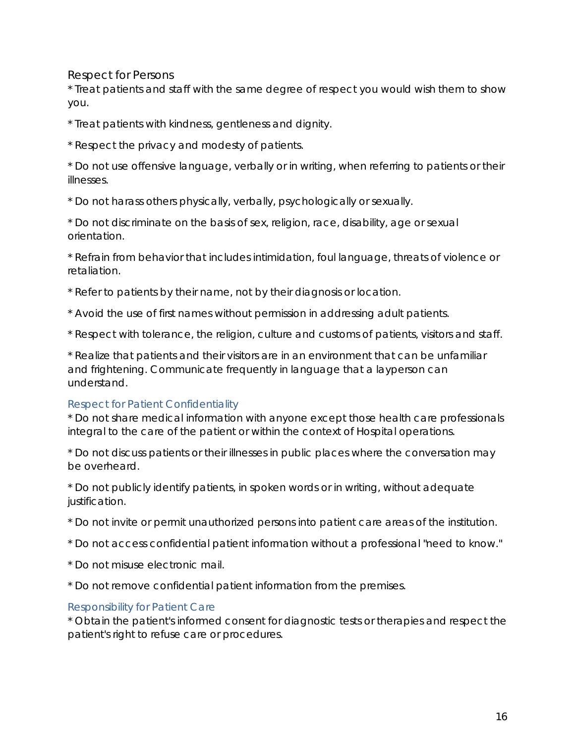#### <span id="page-19-0"></span>*Respect for Persons*

\* Treat patients and staff with the same degree of respect you would wish them to show you.

\* Treat patients with kindness, gentleness and dignity.

\* Respect the privacy and modesty of patients.

\* Do not use offensive language, verbally or in writing, when referring to patients or their illnesses.

\* Do not harass others physically, verbally, psychologically or sexually.

\* Do not discriminate on the basis of sex, religion, race, disability, age or sexual orientation.

\* Refrain from behavior that includes intimidation, foul language, threats of violence or retaliation.

\* Refer to patients by their name, not by their diagnosis or location.

\* Avoid the use of first names without permission in addressing adult patients.

\* Respect with tolerance, the religion, culture and customs of patients, visitors and staff.

\* Realize that patients and their visitors are in an environment that can be unfamiliar and frightening. Communicate frequently in language that a layperson can understand.

#### *Respect for Patient Confidentiality*

\* Do not share medical information with anyone except those health care professionals integral to the care of the patient or within the context of Hospital operations.

\* Do not discuss patients or their illnesses in public places where the conversation may be overheard.

\* Do not publicly identify patients, in spoken words or in writing, without adequate justification.

- \* Do not invite or permit unauthorized persons into patient care areas of the institution.
- \* Do not access confidential patient information without a professional "need to know."
- \* Do not misuse electronic mail.
- \* Do not remove confidential patient information from the premises.

#### *Responsibility for Patient Care*

\* Obtain the patient's informed consent for diagnostic tests or therapies and respect the patient's right to refuse care or procedures.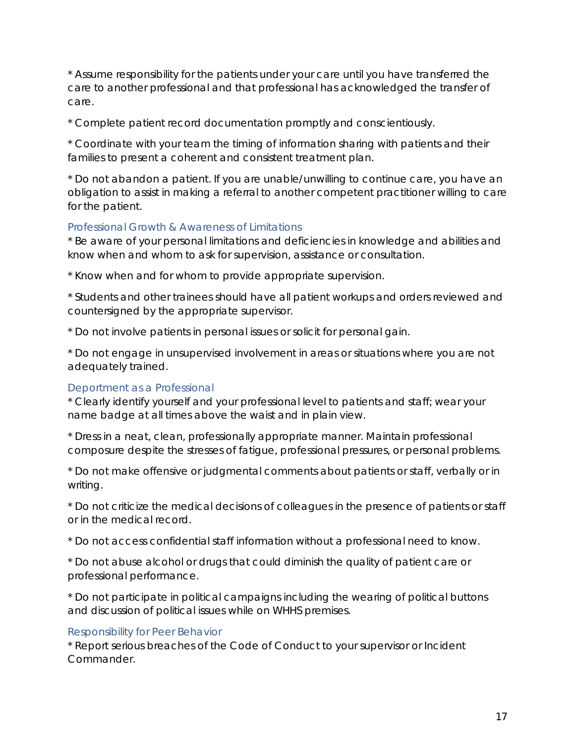\* Assume responsibility for the patients under your care until you have transferred the care to another professional and that professional has acknowledged the transfer of care.

\* Complete patient record documentation promptly and conscientiously.

\* Coordinate with your team the timing of information sharing with patients and their families to present a coherent and consistent treatment plan.

\* Do not abandon a patient. If you are unable/unwilling to continue care, you have an obligation to assist in making a referral to another competent practitioner willing to care for the patient.

#### *Professional Growth & Awareness of Limitations*

\* Be aware of your personal limitations and deficiencies in knowledge and abilities and know when and whom to ask for supervision, assistance or consultation.

\* Know when and for whom to provide appropriate supervision.

\* Students and other trainees should have all patient workups and orders reviewed and countersigned by the appropriate supervisor.

\* Do not involve patients in personal issues or solicit for personal gain.

\* Do not engage in unsupervised involvement in areas or situations where you are not adequately trained.

#### *Deportment as a Professional*

\* Clearly identify yourself and your professional level to patients and staff; wear your name badge at all times above the waist and in plain view.

\* Dress in a neat, clean, professionally appropriate manner. Maintain professional composure despite the stresses of fatigue, professional pressures, or personal problems.

\* Do not make offensive or judgmental comments about patients or staff, verbally or in writing.

\* Do not criticize the medical decisions of colleagues in the presence of patients or staff or in the medical record.

\* Do not access confidential staff information without a professional need to know.

\* Do not abuse alcohol or drugs that could diminish the quality of patient care or professional performance.

\* Do not participate in political campaigns including the wearing of political buttons and discussion of political issues while on WHHS premises.

#### *Responsibility for Peer Behavior*

\* Report serious breaches of the Code of Conduct to your supervisor or Incident Commander.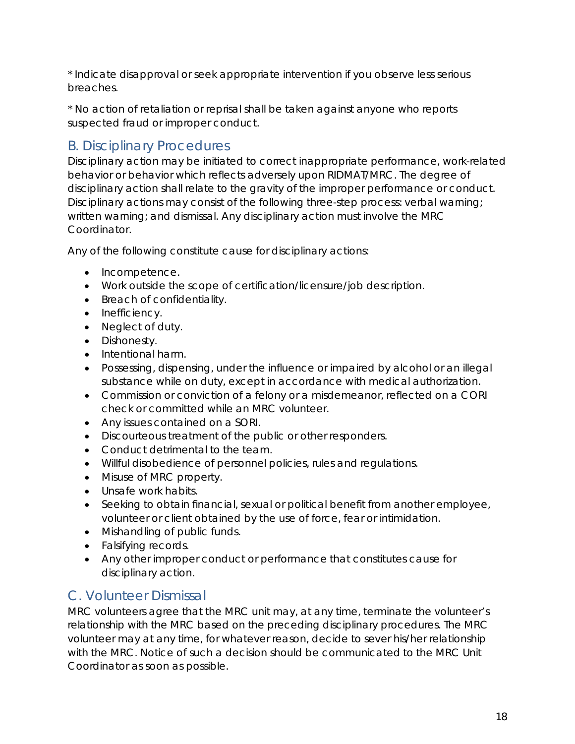\* Indicate disapproval or seek appropriate intervention if you observe less serious breaches.

\* No action of retaliation or reprisal shall be taken against anyone who reports suspected fraud or improper conduct.

# <span id="page-21-0"></span>B. Disciplinary Procedures

Disciplinary action may be initiated to correct inappropriate performance, work-related behavior or behavior which reflects adversely upon RIDMAT/MRC. The degree of disciplinary action shall relate to the gravity of the improper performance or conduct. Disciplinary actions may consist of the following three-step process: verbal warning; written warning; and dismissal. Any disciplinary action must involve the MRC Coordinator.

Any of the following constitute cause for disciplinary actions:

- Incompetence.
- Work outside the scope of certification/licensure/job description.
- Breach of confidentiality.
- Inefficiency.
- Neglect of duty.
- Dishonesty.
- Intentional harm.
- Possessing, dispensing, under the influence or impaired by alcohol or an illegal substance while on duty, except in accordance with medical authorization.
- Commission or conviction of a felony or a misdemeanor, reflected on a CORI check or committed while an MRC volunteer.
- Any issues contained on a SORI.
- Discourteous treatment of the public or other responders.
- Conduct detrimental to the team.
- Willful disobedience of personnel policies, rules and regulations.
- Misuse of MRC property.
- Unsafe work habits.
- Seeking to obtain financial, sexual or political benefit from another employee, volunteer or client obtained by the use of force, fear or intimidation.
- Mishandling of public funds.
- Falsifying records.
- Any other improper conduct or performance that constitutes cause for disciplinary action.

# <span id="page-21-1"></span>C. Volunteer Dismissal

MRC volunteers agree that the MRC unit may, at any time, terminate the volunteer's relationship with the MRC based on the preceding disciplinary procedures. The MRC volunteer may at any time, for whatever reason, decide to sever his/her relationship with the MRC. Notice of such a decision should be communicated to the MRC Unit Coordinator as soon as possible.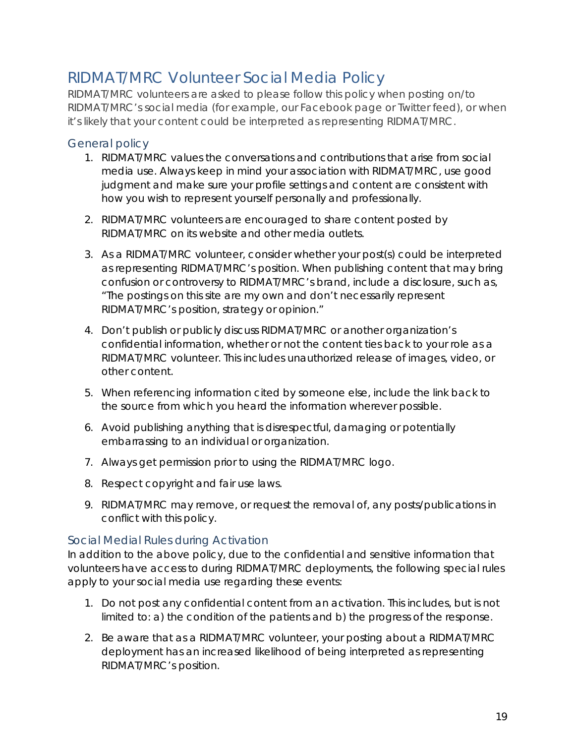# <span id="page-22-0"></span>RIDMAT/MRC Volunteer Social Media Policy

*RIDMAT/MRC volunteers are asked to please follow this policy when posting on/to RIDMAT/MRC's social media (for example, our [Facebook page](http://www.facebook.com/RedRoverOrg) or [Twitter feed\)](http://www.twitter.com/RedRoverOrg), or when it's likely that your content could be interpreted as representing RIDMAT/MRC.*

#### <span id="page-22-1"></span>General policy

- 1. RIDMAT/MRC values the conversations and contributions that arise from social media use. Always keep in mind your association with RIDMAT/MRC, use good judgment and make sure your profile settings and content are consistent with how you wish to represent yourself personally and professionally.
- 2. RIDMAT/MRC volunteers are encouraged to share content posted by RIDMAT/MRC on its website and other media outlets.
- 3. As a RIDMAT/MRC volunteer, consider whether your post(s) could be interpreted as representing RIDMAT/MRC's position. When publishing content that may bring confusion or controversy to RIDMAT/MRC's brand, include a disclosure, such as, "The postings on this site are my own and don't necessarily represent RIDMAT/MRC's position, strategy or opinion."
- 4. Don't publish or publicly discuss RIDMAT/MRC or another organization's confidential information, whether or not the content ties back to your role as a RIDMAT/MRC volunteer. This includes unauthorized release of images, video, or other content.
- 5. When referencing information cited by someone else, include the link back to the source from which you heard the information wherever possible.
- 6. Avoid publishing anything that is disrespectful, damaging or potentially embarrassing to an individual or organization.
- 7. Always get permission prior to using the RIDMAT/MRC logo.
- 8. Respect copyright and fair use laws.
- 9. RIDMAT/MRC may remove, or request the removal of, any posts/publications in conflict with this policy.

#### <span id="page-22-2"></span>Social Medial Rules during Activation

*In addition to the above policy, due to the confidential and sensitive information that volunteers have access to during RIDMAT/MRC deployments, the following special rules apply to your social media use regarding these events:*

- 1. Do not post any confidential content from an activation. This includes, but is not limited to: a) the condition of the patients and b) the progress of the response.
- 2. Be aware that as a RIDMAT/MRC volunteer, your posting about a RIDMAT/MRC deployment has an increased likelihood of being interpreted as representing RIDMAT/MRC's position.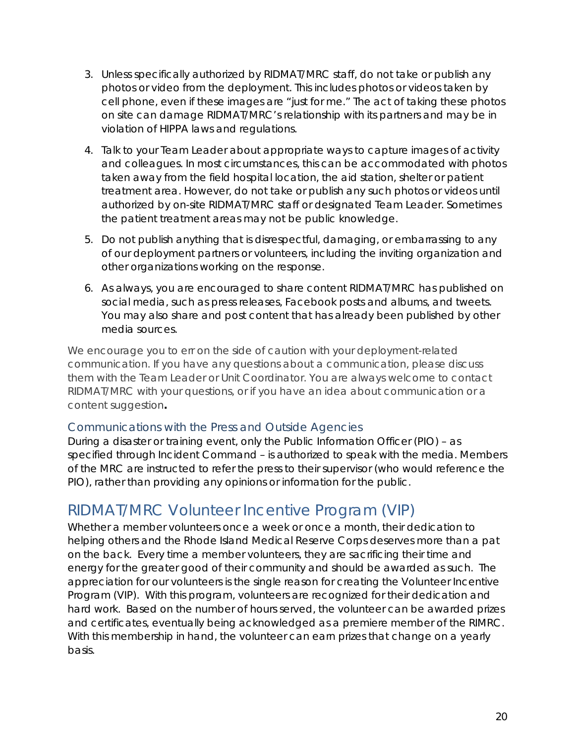- 3. Unless specifically authorized by RIDMAT/MRC staff, do not take or publish any photos or video from the deployment. This includes photos or videos taken by cell phone, even if these images are "just for me." The act of taking these photos on site can damage RIDMAT/MRC's relationship with its partners and may be in violation of HIPPA laws and regulations.
- 4. Talk to your Team Leader about appropriate ways to capture images of activity and colleagues. In most circumstances, this can be accommodated with photos taken away from the field hospital location, the aid station, shelter or patient treatment area. However, do not take or publish any such photos or videos until authorized by on-site RIDMAT/MRC staff or designated Team Leader. Sometimes the patient treatment areas may not be public knowledge.
- 5. Do not publish anything that is disrespectful, damaging, or embarrassing to any of our deployment partners or volunteers, including the inviting organization and other organizations working on the response.
- 6. As always, you are encouraged to share content RIDMAT/MRC has published on social media, such as press releases, Facebook posts and albums, and tweets. You may also share and post content that has already been published by other media sources.

*We encourage you to err on the side of caution with your deployment-related communication. If you have any questions about a communication, please discuss them with the Team Leader or Unit Coordinator. You are always welcome to contact RIDMAT/MRC with your questions, or if you have an idea about communication or a content suggestion***.**

#### <span id="page-23-0"></span>Communications with the Press and Outside Agencies

During a disaster or training event, only the Public Information Officer (PIO) – as specified through Incident Command – is authorized to speak with the media. Members of the MRC are instructed to refer the press to their supervisor (who would reference the PIO), rather than providing any opinions or information for the public.

# <span id="page-23-1"></span>RIDMAT/MRC Volunteer Incentive Program (VIP)

Whether a member volunteers once a week or once a month, their dedication to helping others and the Rhode Island Medical Reserve Corps deserves more than a pat on the back. Every time a member volunteers, they are sacrificing their time and energy for the greater good of their community and should be awarded as such. The appreciation for our volunteers is the single reason for creating the Volunteer Incentive Program (VIP). With this program, volunteers are recognized for their dedication and hard work. Based on the number of hours served, the volunteer can be awarded prizes and certificates, eventually being acknowledged as a premiere member of the RIMRC. With this membership in hand, the volunteer can earn prizes that change on a yearly basis.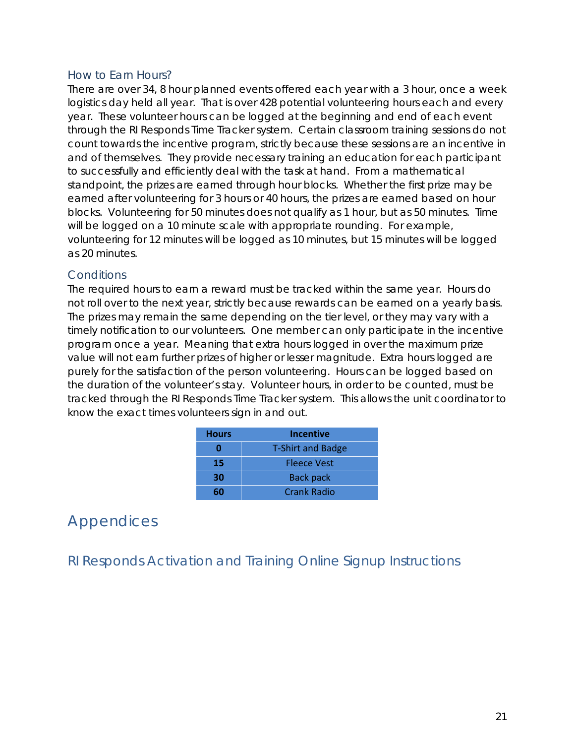#### <span id="page-24-0"></span>How to Earn Hours?

There are over 34, 8 hour planned events offered each year with a 3 hour, once a week logistics day held all year. That is over 428 potential volunteering hours each and every year. These volunteer hours can be logged at the beginning and end of each event through the RI Responds Time Tracker system. Certain classroom training sessions do not count towards the incentive program, strictly because these sessions are an incentive in and of themselves. They provide necessary training an education for each participant to successfully and efficiently deal with the task at hand. From a mathematical standpoint, the prizes are earned through hour blocks. Whether the first prize may be earned after volunteering for 3 hours or 40 hours, the prizes are earned based on hour blocks. Volunteering for 50 minutes does not qualify as 1 hour, but as 50 minutes. Time will be logged on a 10 minute scale with appropriate rounding. For example, volunteering for 12 minutes will be logged as 10 minutes, but 15 minutes will be logged as 20 minutes.

#### <span id="page-24-1"></span>**Conditions**

The required hours to earn a reward must be tracked within the same year. Hours do not roll over to the next year, strictly because rewards can be earned on a yearly basis. The prizes may remain the same depending on the tier level, or they may vary with a timely notification to our volunteers. One member can only participate in the incentive program once a year. Meaning that extra hours logged in over the maximum prize value will not earn further prizes of higher or lesser magnitude. Extra hours logged are purely for the satisfaction of the person volunteering. Hours can be logged based on the duration of the volunteer's stay. Volunteer hours, in order to be counted, must be tracked through the RI Responds Time Tracker system. This allows the unit coordinator to know the exact times volunteers sign in and out.

| <b>Hours</b> | <b>Incentive</b>         |
|--------------|--------------------------|
|              | <b>T-Shirt and Badge</b> |
| 15           | <b>Fleece Vest</b>       |
| 30           | <b>Back pack</b>         |
|              | <b>Crank Radio</b>       |

# <span id="page-24-2"></span>Appendices

<span id="page-24-3"></span>RI Responds Activation and Training Online Signup Instructions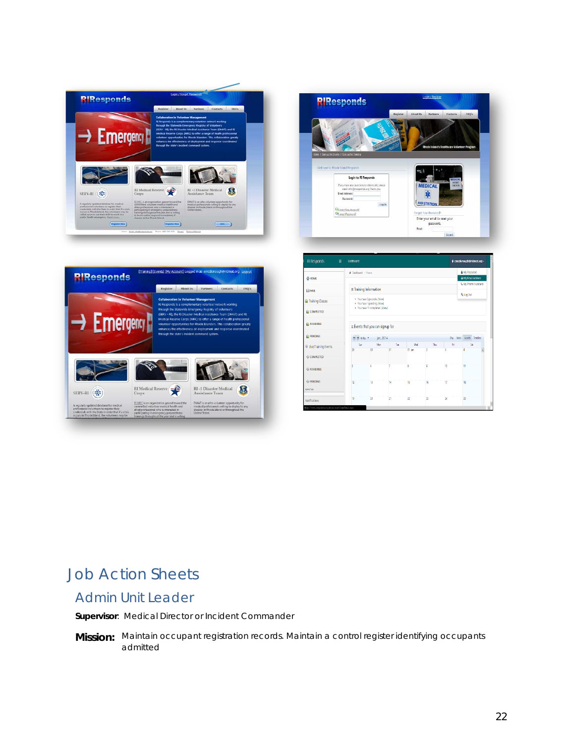







# <span id="page-25-0"></span>Job Action Sheets

### <span id="page-25-1"></span>Admin Unit Leader

**Supervisor**: Medical Director or Incident Commander

**Mission:** Maintain occupant registration records. Maintain a control register identifying occupants admitted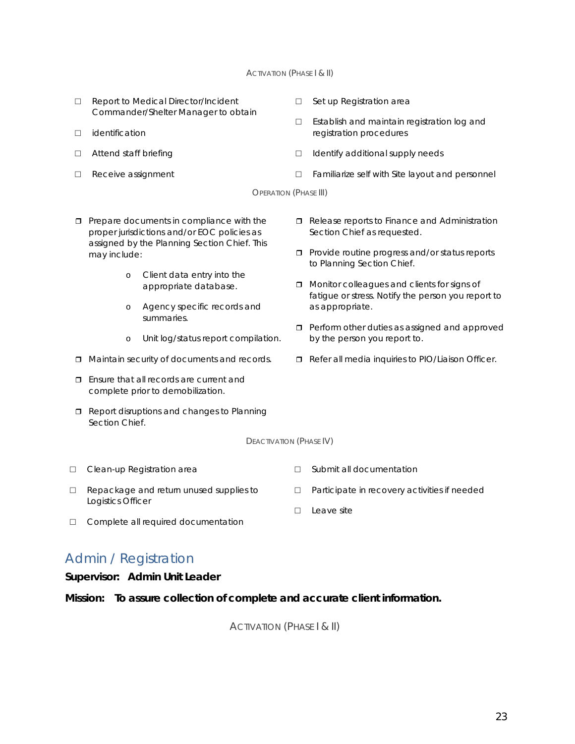#### **ACTIVATION (PHASE I & II)**

- □ Report to Medical Director/Incident Commander/Shelter Manager to obtain
- □ identification
- □ Attend staff briefing
- □ Receive assignment
- □ Set up Registration area
- □ Establish and maintain registration log and registration procedures
- □ Identify additional supply needs
- □ Familiarize self with Site layout and personnel

OPERATION (PHASE III)

- $\Box$  Prepare documents in compliance with the proper jurisdictions and/or EOC policies as assigned by the Planning Section Chief. This may include:
	- o Client data entry into the appropriate database.
	- o Agency specific records and summaries.
	- o Unit log/status report compilation.
- $\Box$  Maintain security of documents and records.
- **T** Ensure that all records are current and complete prior to demobilization.
- Report disruptions and changes to Planning Section Chief.
- Release reports to Finance and Administration Section Chief as requested.
- **Provide routine progress and/or status reports** to Planning Section Chief.
- **D** Monitor colleagues and clients for signs of fatigue or stress. Notify the person you report to as appropriate.
- **Perform other duties as assigned and approved** by the person you report to.
- Refer all media inquiries to PIO/Liaison Officer.

□ Participate in recovery activities if needed

□ Submit all documentation

□ Leave site

DEACTIVATION (PHASE IV)

- □ Clean-up Registration area
- □ Repackage and return unused supplies to Logistics Officer
- □ Complete all required documentation

### <span id="page-26-0"></span>Admin / Registration

#### **Supervisor: Admin Unit Leader**

**Mission: To assure collection of complete and accurate client information.**

ACTIVATION (PHASE | & II)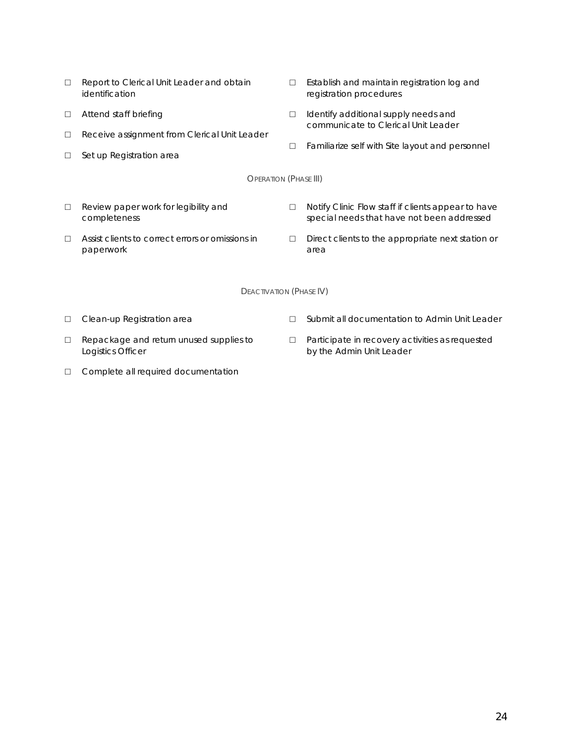- □ Report to Clerical Unit Leader and obtain identification
- □ Attend staff briefing
- □ Receive assignment from Clerical Unit Leader
- □ Set up Registration area
- □ Establish and maintain registration log and registration procedures
- □ Identify additional supply needs and communicate to Clerical Unit Leader
- □ Familiarize self with Site layout and personnel

**OPERATION (PHASE III)** 

- □ Review paper work for legibility and completeness
- □ Assist clients to correct errors or omissions in paperwork
- □ Notify Clinic Flow staff if clients appear to have special needs that have not been addressed
- □ Direct clients to the appropriate next station or area

DEACTIVATION (PHASE IV)

□ Clean-up Registration area

- □ Submit all documentation to Admin Unit Leader
- □ Repackage and return unused supplies to Logistics Officer
- □ Complete all required documentation
- □ Participate in recovery activities as requested by the Admin Unit Leader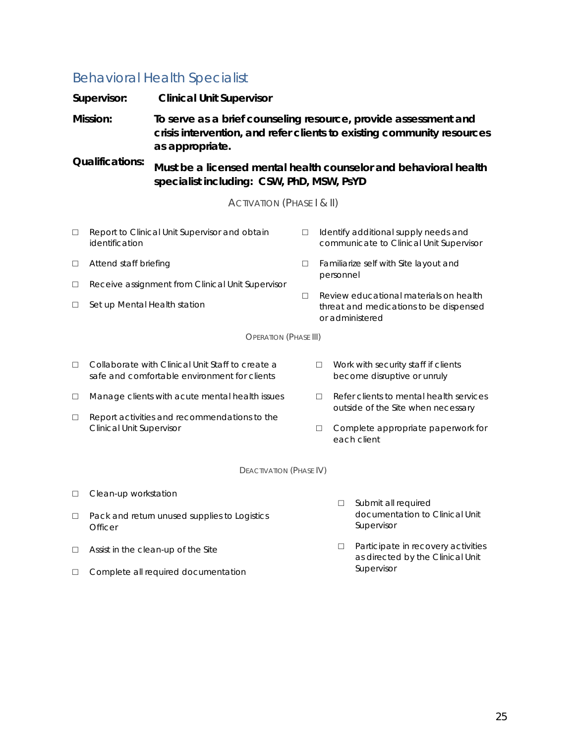# <span id="page-28-0"></span>Behavioral Health Specialist

|                                    | Supervisor:                          | <b>Clinical Unit Supervisor</b>                                                                                                                              |        |                                                                                                          |           |                                                                                         |
|------------------------------------|--------------------------------------|--------------------------------------------------------------------------------------------------------------------------------------------------------------|--------|----------------------------------------------------------------------------------------------------------|-----------|-----------------------------------------------------------------------------------------|
| Mission:<br><b>Qualifications:</b> |                                      | To serve as a brief counseling resource, provide assessment and<br>crisis intervention, and refer clients to existing community resources<br>as appropriate. |        |                                                                                                          |           |                                                                                         |
|                                    |                                      | Must be a licensed mental health counselor and behavioral health<br>specialist including: CSW, PhD, MSW, PsYD                                                |        |                                                                                                          |           |                                                                                         |
|                                    | <b>ACTIVATION (PHASE   &amp; II)</b> |                                                                                                                                                              |        |                                                                                                          |           |                                                                                         |
| $\Box$                             | identification                       | Report to Clinical Unit Supervisor and obtain                                                                                                                | $\Box$ |                                                                                                          |           | Identify additional supply needs and<br>communicate to Clinical Unit Supervisor         |
| $\Box$                             | Attend staff briefing                |                                                                                                                                                              | $\Box$ | Familiarize self with Site layout and                                                                    |           |                                                                                         |
| $\Box$                             |                                      | Receive assignment from Clinical Unit Supervisor                                                                                                             |        |                                                                                                          | personnel |                                                                                         |
| $\Box$                             | Set up Mental Health station         |                                                                                                                                                              |        | Review educational materials on health<br>П<br>threat and medications to be dispensed<br>or administered |           |                                                                                         |
|                                    |                                      | <b>OPERATION (PHASE III)</b>                                                                                                                                 |        |                                                                                                          |           |                                                                                         |
| $\Box$                             |                                      | Collaborate with Clinical Unit Staff to create a<br>safe and comfortable environment for clients                                                             |        | $\Box$                                                                                                   |           | Work with security staff if clients<br>become disruptive or unruly                      |
| $\Box$                             |                                      | Manage clients with acute mental health issues                                                                                                               |        | □                                                                                                        |           | Refer clients to mental health services                                                 |
| $\Box$                             |                                      | Report activities and recommendations to the<br><b>Clinical Unit Supervisor</b>                                                                              |        | $\Box$                                                                                                   |           | outside of the Site when necessary<br>Complete appropriate paperwork for<br>each client |
| <b>DEACTIVATION (PHASE IV)</b>     |                                      |                                                                                                                                                              |        |                                                                                                          |           |                                                                                         |
| $\Box$                             | Clean-up workstation                 |                                                                                                                                                              |        |                                                                                                          |           |                                                                                         |
| $\Box$                             | Officer                              | Pack and return unused supplies to Logistics                                                                                                                 |        |                                                                                                          | П         | Submit all required<br>documentation to Clinical Unit<br>Supervisor                     |
| □                                  |                                      | $\Box$<br>Assist in the clean-up of the Site                                                                                                                 |        | Participate in recovery activities<br>as directed by the Clinical Unit                                   |           |                                                                                         |
| m.                                 |                                      | Complete all required decumentation                                                                                                                          |        | Supervisor                                                                                               |           |                                                                                         |

□ Complete all required documentation

25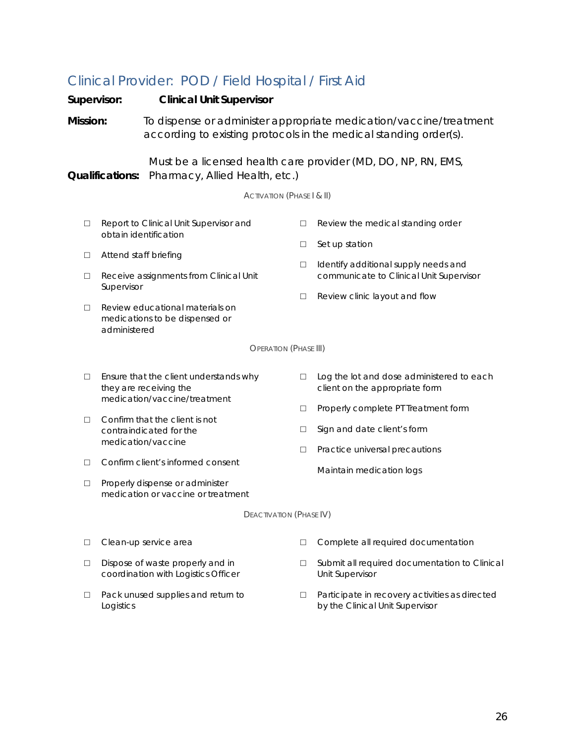# <span id="page-29-0"></span>Clinical Provider: POD / Field Hospital / First Aid

| Supervisor:<br><b>Clinical Unit Supervisor</b>                                                                            |                                                                                                                                                                              |                                                                         |        |                                                                                                                                         |
|---------------------------------------------------------------------------------------------------------------------------|------------------------------------------------------------------------------------------------------------------------------------------------------------------------------|-------------------------------------------------------------------------|--------|-----------------------------------------------------------------------------------------------------------------------------------------|
| Mission:                                                                                                                  |                                                                                                                                                                              |                                                                         |        | To dispense or administer appropriate medication/vaccine/treatment<br>according to existing protocols in the medical standing order(s). |
| Must be a licensed health care provider (MD, DO, NP, RN, EMS,<br>Pharmacy, Allied Health, etc.)<br><b>Qualifications:</b> |                                                                                                                                                                              |                                                                         |        |                                                                                                                                         |
|                                                                                                                           |                                                                                                                                                                              | <b>ACTIVATION (PHASE I &amp; II)</b>                                    |        |                                                                                                                                         |
| $\Box$                                                                                                                    |                                                                                                                                                                              | Report to Clinical Unit Supervisor and                                  | □      | Review the medical standing order                                                                                                       |
|                                                                                                                           |                                                                                                                                                                              | obtain identification                                                   |        | Set up station                                                                                                                          |
| $\Box$                                                                                                                    | Attend staff briefing<br>$\Box$<br>Receive assignments from Clinical Unit<br>Supervisor<br>Review educational materials on<br>medications to be dispensed or<br>administered |                                                                         | □      | Identify additional supply needs and<br>communicate to Clinical Unit Supervisor                                                         |
| П                                                                                                                         |                                                                                                                                                                              |                                                                         | $\Box$ | Review clinic layout and flow                                                                                                           |
|                                                                                                                           |                                                                                                                                                                              | <b>OPERATION (PHASE III)</b>                                            |        |                                                                                                                                         |
| □                                                                                                                         |                                                                                                                                                                              | Ensure that the client understands why<br>they are receiving the        | □      | Log the lot and dose administered to each<br>client on the appropriate form                                                             |
|                                                                                                                           |                                                                                                                                                                              | medication/vaccine/treatment                                            | □      | Properly complete PT Treatment form                                                                                                     |
| $\Box$                                                                                                                    | Confirm that the client is not<br>contraindicated for the                                                                                                                    |                                                                         | □      | Sign and date client's form                                                                                                             |
|                                                                                                                           |                                                                                                                                                                              | medication/vaccine                                                      | $\Box$ | Practice universal precautions                                                                                                          |
| □                                                                                                                         |                                                                                                                                                                              | Confirm client's informed consent                                       |        | Maintain medication logs                                                                                                                |
| $\Box$                                                                                                                    | Properly dispense or administer<br>medication or vaccine or treatment                                                                                                        |                                                                         |        |                                                                                                                                         |
| DEACTIVATION (PHASE IV)                                                                                                   |                                                                                                                                                                              |                                                                         |        |                                                                                                                                         |
| □                                                                                                                         |                                                                                                                                                                              | Clean-up service area                                                   | □      | Complete all required documentation                                                                                                     |
| $\Box$                                                                                                                    |                                                                                                                                                                              | Dispose of waste properly and in<br>coordination with Logistics Officer | $\Box$ | Submit all required documentation to Clinical<br>Unit Supervisor                                                                        |
| $\Box$                                                                                                                    | Logistics                                                                                                                                                                    | Pack unused supplies and return to                                      | □      | Participate in recovery activities as directed<br>by the Clinical Unit Supervisor                                                       |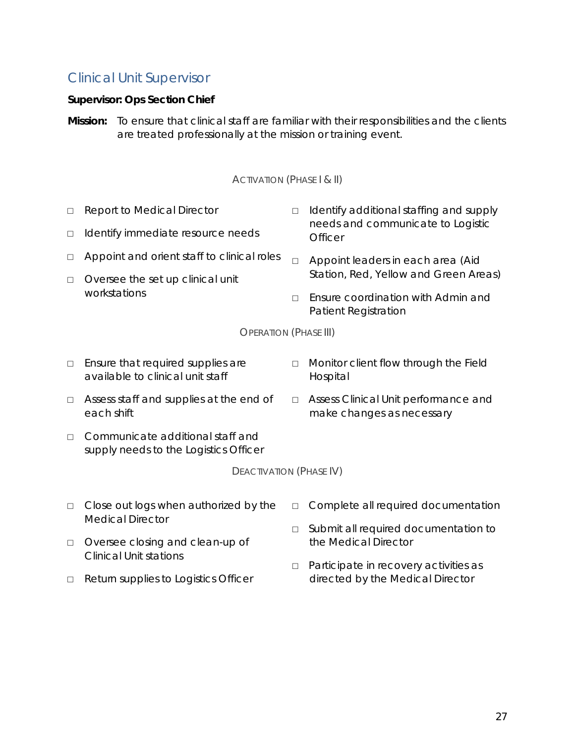### <span id="page-30-0"></span>Clinical Unit Supervisor

#### **Supervisor: Ops Section Chief**

**Mission:** To ensure that clinical staff are familiar with their responsibilities and the clients are treated professionally at the mission or training event.

#### ACTIVATION (PHASE | & II)

| П                            | <b>Report to Medical Director</b>                | $\Box$ | Identify additional staffing and supply                    |  |  |
|------------------------------|--------------------------------------------------|--------|------------------------------------------------------------|--|--|
| П                            | Identify immediate resource needs                |        | needs and communicate to Logistic<br><b>Officer</b>        |  |  |
|                              | Appoint and orient staff to clinical roles       | $\Box$ | Appoint leaders in each area (Aid                          |  |  |
| $\Box$                       | Oversee the set up clinical unit<br>workstations |        | Station, Red, Yellow and Green Areas)                      |  |  |
|                              |                                                  | П      | Ensure coordination with Admin and<br>Patient Registration |  |  |
| <b>OPERATION (PHASE III)</b> |                                                  |        |                                                            |  |  |
| П                            | Ensure that required supplies are                | п      | Monitor client flow through the Field                      |  |  |

- □ Linsure that required supplies are available to clinical unit staff
- □ Assess staff and supplies at the end of each shift
- □ Assess Clinical Unit performance and make changes as necessary
- □ Communicate additional staff and supply needs to the Logistics Officer

DEACTIVATION (PHASE IV)

Hospital

- □ Close out logs when authorized by the Medical Director
- □ Oversee closing and clean-up of Clinical Unit stations
- □ Return supplies to Logistics Officer
- □ Complete all required documentation
- □ Submit all required documentation to the Medical Director
- □ Participate in recovery activities as directed by the Medical Director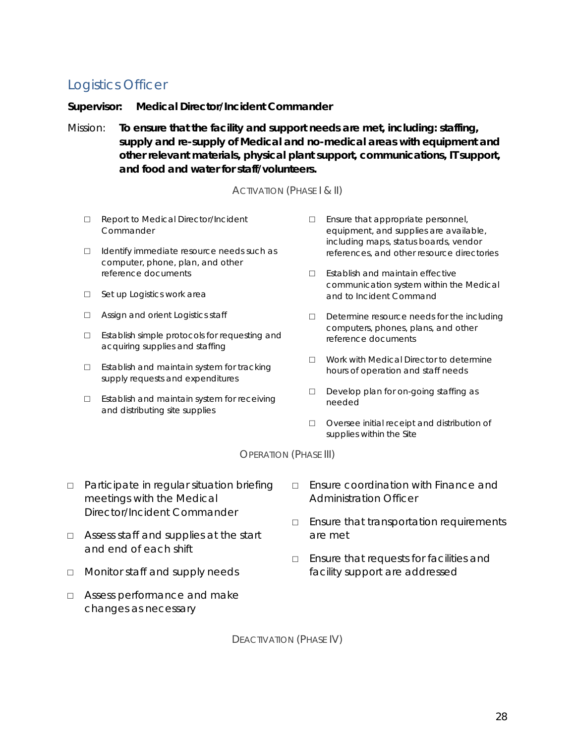# <span id="page-31-0"></span>Logistics Officer

**Supervisor: Medical Director/Incident Commander**

Mission: **To ensure that the facility and support needs are met, including: staffing, supply and re-supply of Medical and no-medical areas with equipment and other relevant materials, physical plant support, communications, IT support, and food and water for staff/volunteers.**

#### ACTIVATION (PHASE | & II)

- □ Report to Medical Director/Incident **Commander**
- □ Identify immediate resource needs such as computer, phone, plan, and other reference documents
- □ Set up Logistics work area
- □ Assign and orient Logistics staff
- □ Establish simple protocols for requesting and acquiring supplies and staffing
- □ Establish and maintain system for tracking supply requests and expenditures
- □ Establish and maintain system for receiving and distributing site supplies
- □ Ensure that appropriate personnel, equipment, and supplies are available, including maps, status boards, vendor references, and other resource directories
- □ Establish and maintain effective communication system within the Medical and to Incident Command
- □ Determine resource needs for the including computers, phones, plans, and other reference documents
- □ Work with Medical Director to determine hours of operation and staff needs
- □ Develop plan for on-going staffing as needed
- □ Oversee initial receipt and distribution of supplies within the Site

OPERATION (PHASE III)

- □ Participate in regular situation briefing meetings with the Medical Director/Incident Commander
- □ Assess staff and supplies at the start and end of each shift
- □ Monitor staff and supply needs
- □ Assess performance and make changes as necessary
- □ Ensure coordination with Finance and Administration Officer
- □ Ensure that transportation requirements are met
- □ Ensure that requests for facilities and facility support are addressed

DEACTIVATION (PHASE IV)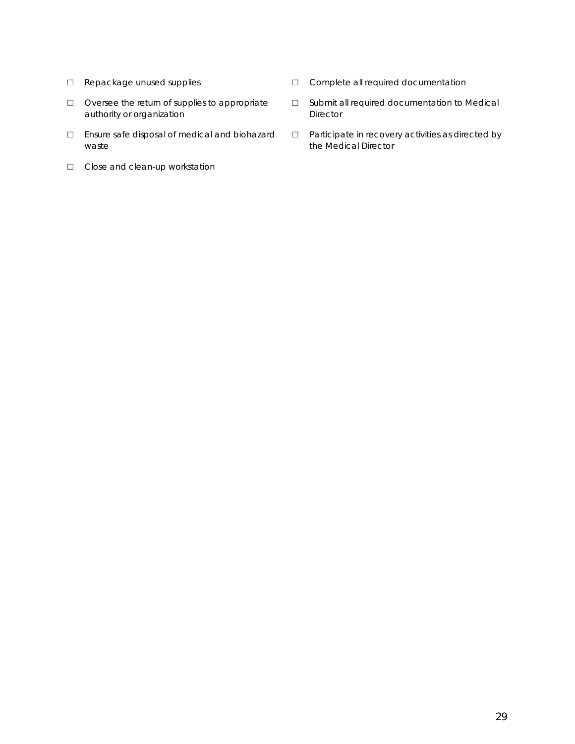- □ Repackage unused supplies
- □ Oversee the return of supplies to appropriate authority or organization
- □ Ensure safe disposal of medical and biohazard waste
- □ Close and clean-up workstation
- □ Complete all required documentation
- □ Submit all required documentation to Medical Director
- □ Participate in recovery activities as directed by the Medical Director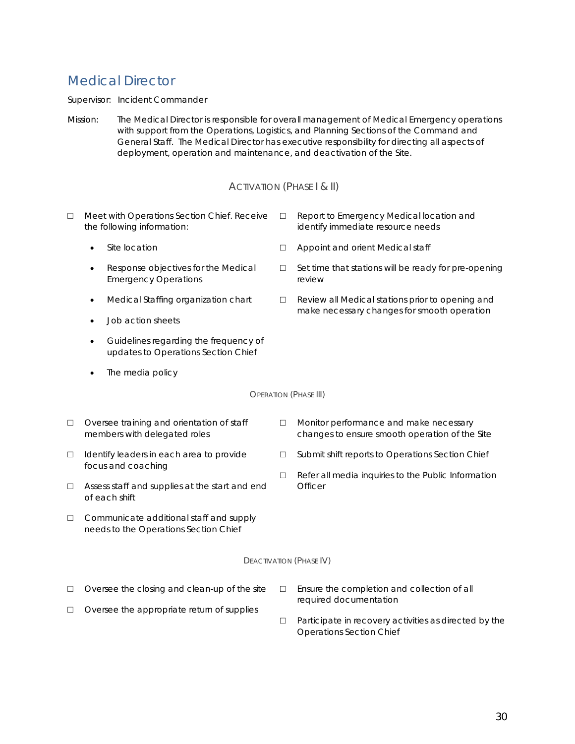# <span id="page-33-0"></span>Medical Director

Supervisor: Incident Commander

Mission: The Medical Director is responsible for overall management of Medical Emergency operations with support from the Operations, Logistics, and Planning Sections of the Command and General Staff. The Medical Director has executive responsibility for directing all aspects of deployment, operation and maintenance, and deactivation of the Site.

#### ACTIVATION (PHASE | & II)

- □ Meet with Operations Section Chief. Receive the following information:
	- Site location
	- Response objectives for the Medical Emergency Operations
	- Medical Staffing organization chart
	- Job action sheets
	- Guidelines regarding the frequency of updates to Operations Section Chief
	- The media policy
- Report to Emergency Medical location and identify immediate resource needs
- □ Appoint and orient Medical staff
- □ Set time that stations will be ready for pre-opening review
- □ Review all Medical stations prior to opening and make necessary changes for smooth operation
- OPERATION (PHASE III)
- □ Oversee training and orientation of staff members with delegated roles
- □ Identify leaders in each area to provide focus and coaching
- □ Assess staff and supplies at the start and end of each shift
- □ Communicate additional staff and supply needs to the Operations Section Chief
- □ Monitor performance and make necessary changes to ensure smooth operation of the Site
- □ Submit shift reports to Operations Section Chief
- □ Refer all media inquiries to the Public Information **Officer**

#### DEACTIVATION (PHASE IV)

□ Oversee the closing and clean-up of the site

□ Oversee the appropriate return of supplies

- □ Ensure the completion and collection of all required documentation
- □ Participate in recovery activities as directed by the Operations Section Chief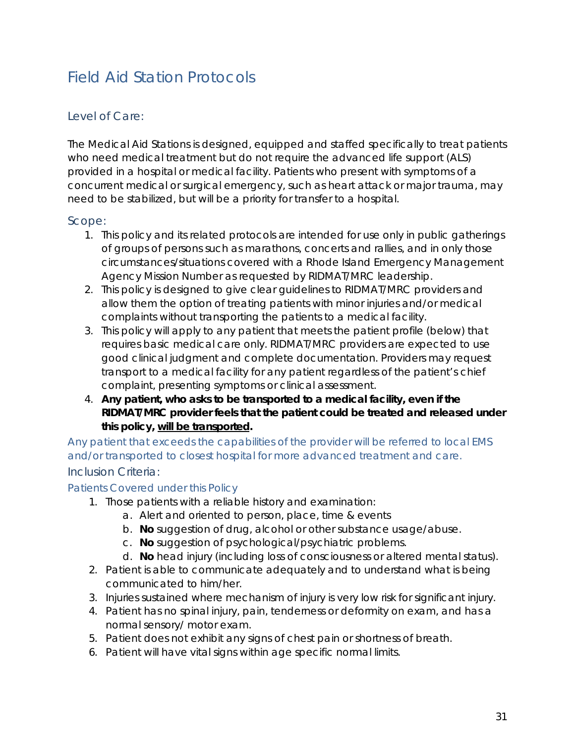# <span id="page-34-0"></span>Field Aid Station Protocols

### <span id="page-34-1"></span>Level of Care:

The Medical Aid Stations is designed, equipped and staffed specifically to treat patients who need medical treatment but do not require the advanced life support (ALS) provided in a hospital or medical facility. Patients who present with symptoms of a concurrent medical or surgical emergency, such as heart attack or major trauma, may need to be stabilized, but will be a priority for transfer to a hospital.

### <span id="page-34-2"></span>Scope:

- 1. This policy and its related protocols are intended for use only in public gatherings of groups of persons such as marathons, concerts and rallies, and in only those circumstances/situations covered with a Rhode Island Emergency Management Agency Mission Number as requested by RIDMAT/MRC leadership.
- 2. This policy is designed to give clear guidelines to RIDMAT/MRC providers and allow them the option of treating patients with minor injuries and/or medical complaints without transporting the patients to a medical facility.
- 3. This policy will apply to any patient that meets the patient profile (below) that requires basic medical care only. RIDMAT/MRC providers are expected to use good clinical judgment and complete documentation*.* Providers may request transport to a medical facility for any patient regardless of the patient's chief complaint, presenting symptoms or clinical assessment.
- 4. **Any patient, who asks to be transported to a medical facility, even if the RIDMAT/MRC provider feels that the patient could be treated and released under this policy, will be transported.**

*Any patient that exceeds the capabilities of the provider will be referred to local EMS and/or transported to closest hospital for more advanced treatment and care.* 

### <span id="page-34-3"></span>Inclusion Criteria:

#### *Patients Covered under this Policy*

- 1. Those patients with a reliable history and examination:
	- a. Alert and oriented to person, place, time & events
	- b. **No** suggestion of drug, alcohol or other substance usage/abuse.
	- c. **No** suggestion of psychological/psychiatric problems.
	- d. **No** head injury (including loss of consciousness or altered mental status).
- 2. Patient is able to communicate adequately and to understand what is being communicated to him/her.
- 3. Injuries sustained where mechanism of injury is very low risk for significant injury.
- 4. Patient has no spinal injury, pain, tenderness or deformity on exam, and has a normal sensory/ motor exam.
- 5. Patient does not exhibit any signs of chest pain or shortness of breath.
- 6. Patient will have vital signs within age specific normal limits.